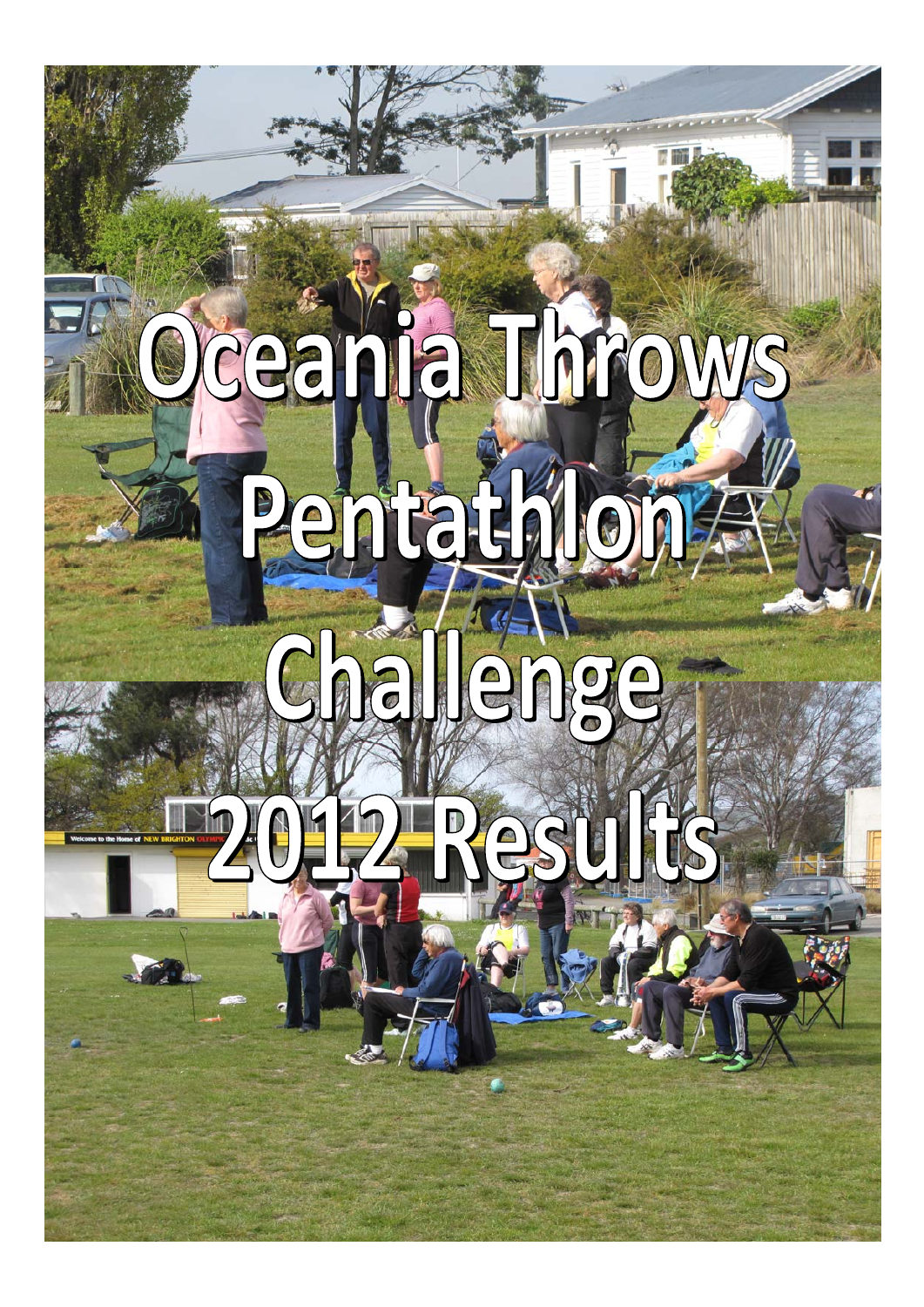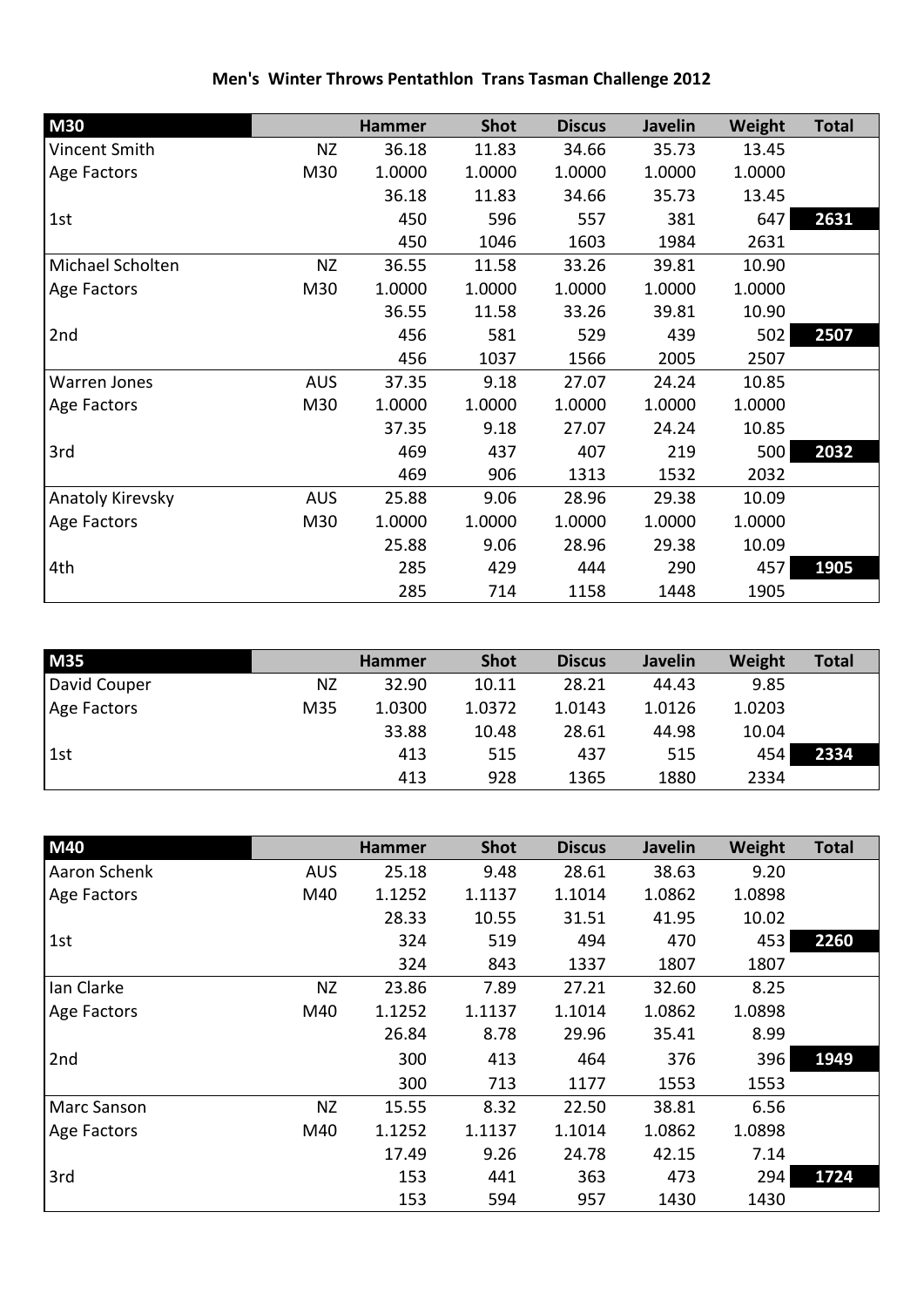| <b>M30</b>          |            | <b>Hammer</b> | <b>Shot</b> | <b>Discus</b> | <b>Javelin</b> | Weight | <b>Total</b> |
|---------------------|------------|---------------|-------------|---------------|----------------|--------|--------------|
| Vincent Smith       | <b>NZ</b>  | 36.18         | 11.83       | 34.66         | 35.73          | 13.45  |              |
| Age Factors         | M30        | 1.0000        | 1.0000      | 1.0000        | 1.0000         | 1.0000 |              |
|                     |            | 36.18         | 11.83       | 34.66         | 35.73          | 13.45  |              |
| 1st                 |            | 450           | 596         | 557           | 381            | 647    | 2631         |
|                     |            | 450           | 1046        | 1603          | 1984           | 2631   |              |
| Michael Scholten    | <b>NZ</b>  | 36.55         | 11.58       | 33.26         | 39.81          | 10.90  |              |
| Age Factors         | M30        | 1.0000        | 1.0000      | 1.0000        | 1.0000         | 1.0000 |              |
|                     |            | 36.55         | 11.58       | 33.26         | 39.81          | 10.90  |              |
| 2nd                 |            | 456           | 581         | 529           | 439            | 502    | 2507         |
|                     |            | 456           | 1037        | 1566          | 2005           | 2507   |              |
| <b>Warren Jones</b> | <b>AUS</b> | 37.35         | 9.18        | 27.07         | 24.24          | 10.85  |              |
| Age Factors         | M30        | 1.0000        | 1.0000      | 1.0000        | 1.0000         | 1.0000 |              |
|                     |            | 37.35         | 9.18        | 27.07         | 24.24          | 10.85  |              |
| 3rd                 |            | 469           | 437         | 407           | 219            | 500    | 2032         |
|                     |            | 469           | 906         | 1313          | 1532           | 2032   |              |
| Anatoly Kirevsky    | <b>AUS</b> | 25.88         | 9.06        | 28.96         | 29.38          | 10.09  |              |
| Age Factors         | M30        | 1.0000        | 1.0000      | 1.0000        | 1.0000         | 1.0000 |              |
|                     |            | 25.88         | 9.06        | 28.96         | 29.38          | 10.09  |              |
| 4th                 |            | 285           | 429         | 444           | 290            | 457    | 1905         |
|                     |            | 285           | 714         | 1158          | 1448           | 1905   |              |

## **Men's Winter Throws Pentathlon Trans Tasman Challenge 2012**

| <b>M35</b>   |           | <b>Hammer</b> | <b>Shot</b> | <b>Discus</b> | <b>Javelin</b> | Weight | <b>Total</b> |
|--------------|-----------|---------------|-------------|---------------|----------------|--------|--------------|
| David Couper | <b>NZ</b> | 32.90         | 10.11       | 28.21         | 44.43          | 9.85   |              |
| Age Factors  | M35       | 1.0300        | 1.0372      | 1.0143        | 1.0126         | 1.0203 |              |
|              |           | 33.88         | 10.48       | 28.61         | 44.98          | 10.04  |              |
| 1st          |           | 413           | 515         | 437           | 515            | 454    | 2334         |
|              |           | 413           | 928         | 1365          | 1880           | 2334   |              |

| M40          |            | <b>Hammer</b> | <b>Shot</b> | <b>Discus</b> | <b>Javelin</b> | Weight | <b>Total</b> |
|--------------|------------|---------------|-------------|---------------|----------------|--------|--------------|
| Aaron Schenk | <b>AUS</b> | 25.18         | 9.48        | 28.61         | 38.63          | 9.20   |              |
| Age Factors  | M40        | 1.1252        | 1.1137      | 1.1014        | 1.0862         | 1.0898 |              |
|              |            | 28.33         | 10.55       | 31.51         | 41.95          | 10.02  |              |
| 1st          |            | 324           | 519         | 494           | 470            | 453    | 2260         |
|              |            | 324           | 843         | 1337          | 1807           | 1807   |              |
| Ian Clarke   | NZ         | 23.86         | 7.89        | 27.21         | 32.60          | 8.25   |              |
| Age Factors  | M40        | 1.1252        | 1.1137      | 1.1014        | 1.0862         | 1.0898 |              |
|              |            | 26.84         | 8.78        | 29.96         | 35.41          | 8.99   |              |
| 2nd          |            | 300           | 413         | 464           | 376            | 396    | 1949         |
|              |            | 300           | 713         | 1177          | 1553           | 1553   |              |
| Marc Sanson  | <b>NZ</b>  | 15.55         | 8.32        | 22.50         | 38.81          | 6.56   |              |
| Age Factors  | M40        | 1.1252        | 1.1137      | 1.1014        | 1.0862         | 1.0898 |              |
|              |            | 17.49         | 9.26        | 24.78         | 42.15          | 7.14   |              |
| 3rd          |            | 153           | 441         | 363           | 473            | 294    | 1724         |
|              |            | 153           | 594         | 957           | 1430           | 1430   |              |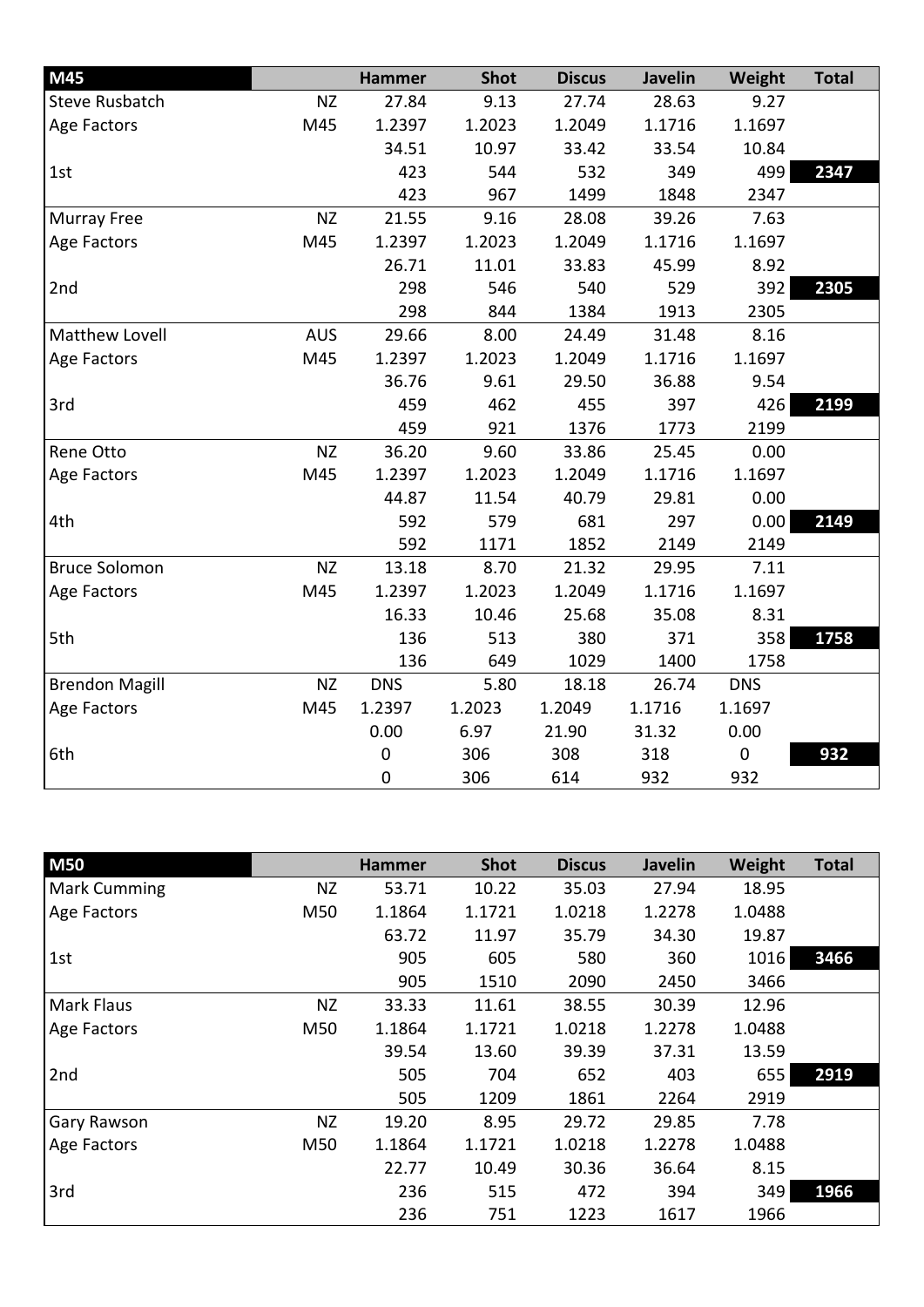| M45                   |            | <b>Hammer</b> | <b>Shot</b> | <b>Discus</b> | Javelin | Weight      | <b>Total</b> |
|-----------------------|------------|---------------|-------------|---------------|---------|-------------|--------------|
| <b>Steve Rusbatch</b> | <b>NZ</b>  | 27.84         | 9.13        | 27.74         | 28.63   | 9.27        |              |
| Age Factors           | M45        | 1.2397        | 1.2023      | 1.2049        | 1.1716  | 1.1697      |              |
|                       |            | 34.51         | 10.97       | 33.42         | 33.54   | 10.84       |              |
| 1st                   |            | 423           | 544         | 532           | 349     | 499         | 2347         |
|                       |            | 423           | 967         | 1499          | 1848    | 2347        |              |
| Murray Free           | <b>NZ</b>  | 21.55         | 9.16        | 28.08         | 39.26   | 7.63        |              |
| Age Factors           | M45        | 1.2397        | 1.2023      | 1.2049        | 1.1716  | 1.1697      |              |
|                       |            | 26.71         | 11.01       | 33.83         | 45.99   | 8.92        |              |
| 2nd                   |            | 298           | 546         | 540           | 529     | 392         | 2305         |
|                       |            | 298           | 844         | 1384          | 1913    | 2305        |              |
| <b>Matthew Lovell</b> | <b>AUS</b> | 29.66         | 8.00        | 24.49         | 31.48   | 8.16        |              |
| Age Factors           | M45        | 1.2397        | 1.2023      | 1.2049        | 1.1716  | 1.1697      |              |
|                       |            | 36.76         | 9.61        | 29.50         | 36.88   | 9.54        |              |
| 3rd                   |            | 459           | 462         | 455           | 397     | 426         | 2199         |
|                       |            | 459           | 921         | 1376          | 1773    | 2199        |              |
| Rene Otto             | <b>NZ</b>  | 36.20         | 9.60        | 33.86         | 25.45   | 0.00        |              |
| Age Factors           | M45        | 1.2397        | 1.2023      | 1.2049        | 1.1716  | 1.1697      |              |
|                       |            | 44.87         | 11.54       | 40.79         | 29.81   | 0.00        |              |
| 4th                   |            | 592           | 579         | 681           | 297     | 0.00        | 2149         |
|                       |            | 592           | 1171        | 1852          | 2149    | 2149        |              |
| <b>Bruce Solomon</b>  | <b>NZ</b>  | 13.18         | 8.70        | 21.32         | 29.95   | 7.11        |              |
| Age Factors           | M45        | 1.2397        | 1.2023      | 1.2049        | 1.1716  | 1.1697      |              |
|                       |            | 16.33         | 10.46       | 25.68         | 35.08   | 8.31        |              |
| 5th                   |            | 136           | 513         | 380           | 371     | 358         | 1758         |
|                       |            | 136           | 649         | 1029          | 1400    | 1758        |              |
| <b>Brendon Magill</b> | <b>NZ</b>  | <b>DNS</b>    | 5.80        | 18.18         | 26.74   | <b>DNS</b>  |              |
| Age Factors           | M45        | 1.2397        | 1.2023      | 1.2049        | 1.1716  | 1.1697      |              |
|                       |            | 0.00          | 6.97        | 21.90         | 31.32   | 0.00        |              |
| 6th                   |            | 0             | 306         | 308           | 318     | $\mathbf 0$ | 932          |
|                       |            | $\pmb{0}$     | 306         | 614           | 932     | 932         |              |

| <b>M50</b>          |           | <b>Hammer</b> | <b>Shot</b> | <b>Discus</b> | <b>Javelin</b> | Weight | <b>Total</b> |
|---------------------|-----------|---------------|-------------|---------------|----------------|--------|--------------|
| <b>Mark Cumming</b> | <b>NZ</b> | 53.71         | 10.22       | 35.03         | 27.94          | 18.95  |              |
| Age Factors         | M50       | 1.1864        | 1.1721      | 1.0218        | 1.2278         | 1.0488 |              |
|                     |           | 63.72         | 11.97       | 35.79         | 34.30          | 19.87  |              |
| 1st                 |           | 905           | 605         | 580           | 360            | 1016   | 3466         |
|                     |           | 905           | 1510        | 2090          | 2450           | 3466   |              |
| <b>Mark Flaus</b>   | <b>NZ</b> | 33.33         | 11.61       | 38.55         | 30.39          | 12.96  |              |
| Age Factors         | M50       | 1.1864        | 1.1721      | 1.0218        | 1.2278         | 1.0488 |              |
|                     |           | 39.54         | 13.60       | 39.39         | 37.31          | 13.59  |              |
| 2nd                 |           | 505           | 704         | 652           | 403            | 655    | 2919         |
|                     |           | 505           | 1209        | 1861          | 2264           | 2919   |              |
| Gary Rawson         | <b>NZ</b> | 19.20         | 8.95        | 29.72         | 29.85          | 7.78   |              |
| Age Factors         | M50       | 1.1864        | 1.1721      | 1.0218        | 1.2278         | 1.0488 |              |
|                     |           | 22.77         | 10.49       | 30.36         | 36.64          | 8.15   |              |
| 3rd                 |           | 236           | 515         | 472           | 394            | 349    | 1966         |
|                     |           | 236           | 751         | 1223          | 1617           | 1966   |              |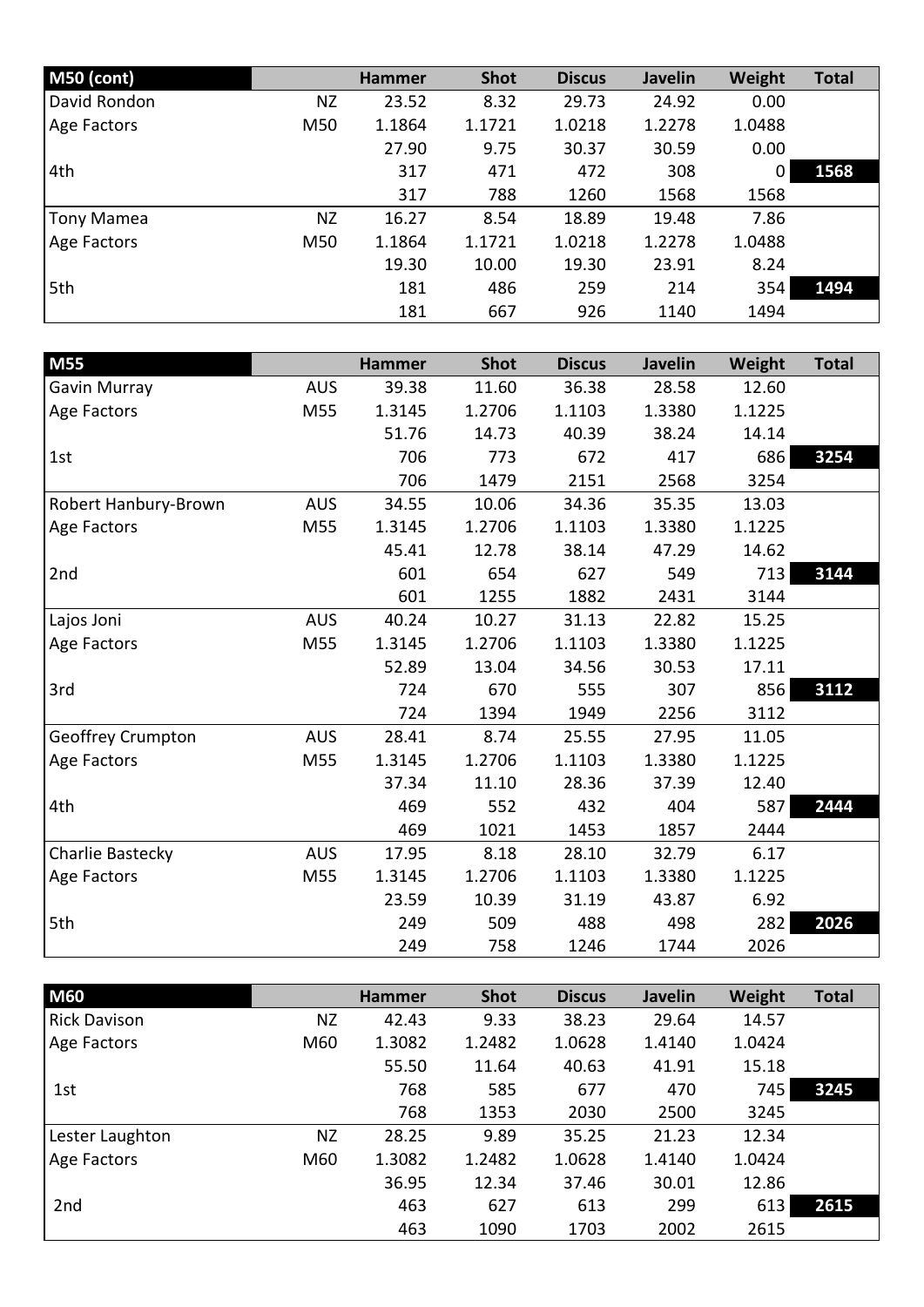| M50 (cont)        |           | <b>Hammer</b> | <b>Shot</b> | <b>Discus</b> | <b>Javelin</b> | Weight         | <b>Total</b> |
|-------------------|-----------|---------------|-------------|---------------|----------------|----------------|--------------|
| David Rondon      | ΝZ        | 23.52         | 8.32        | 29.73         | 24.92          | 0.00           |              |
| Age Factors       | M50       | 1.1864        | 1.1721      | 1.0218        | 1.2278         | 1.0488         |              |
|                   |           | 27.90         | 9.75        | 30.37         | 30.59          | 0.00           |              |
| 4th               |           | 317           | 471         | 472           | 308            | $\overline{0}$ | 1568         |
|                   |           | 317           | 788         | 1260          | 1568           | 1568           |              |
| <b>Tony Mamea</b> | <b>NZ</b> | 16.27         | 8.54        | 18.89         | 19.48          | 7.86           |              |
| Age Factors       | M50       | 1.1864        | 1.1721      | 1.0218        | 1.2278         | 1.0488         |              |
|                   |           | 19.30         | 10.00       | 19.30         | 23.91          | 8.24           |              |
| 5th               |           | 181           | 486         | 259           | 214            | 354            | 1494         |
|                   |           | 181           | 667         | 926           | 1140           | 1494           |              |

| M55                  |            | <b>Hammer</b> | <b>Shot</b> | <b>Discus</b> | <b>Javelin</b> | Weight | <b>Total</b> |
|----------------------|------------|---------------|-------------|---------------|----------------|--------|--------------|
| Gavin Murray         | <b>AUS</b> | 39.38         | 11.60       | 36.38         | 28.58          | 12.60  |              |
| Age Factors          | M55        | 1.3145        | 1.2706      | 1.1103        | 1.3380         | 1.1225 |              |
|                      |            | 51.76         | 14.73       | 40.39         | 38.24          | 14.14  |              |
| 1st                  |            | 706           | 773         | 672           | 417            | 686    | 3254         |
|                      |            | 706           | 1479        | 2151          | 2568           | 3254   |              |
| Robert Hanbury-Brown | <b>AUS</b> | 34.55         | 10.06       | 34.36         | 35.35          | 13.03  |              |
| Age Factors          | M55        | 1.3145        | 1.2706      | 1.1103        | 1.3380         | 1.1225 |              |
|                      |            | 45.41         | 12.78       | 38.14         | 47.29          | 14.62  |              |
| 2nd                  |            | 601           | 654         | 627           | 549            | 713    | 3144         |
|                      |            | 601           | 1255        | 1882          | 2431           | 3144   |              |
| Lajos Joni           | <b>AUS</b> | 40.24         | 10.27       | 31.13         | 22.82          | 15.25  |              |
| Age Factors          | M55        | 1.3145        | 1.2706      | 1.1103        | 1.3380         | 1.1225 |              |
|                      |            | 52.89         | 13.04       | 34.56         | 30.53          | 17.11  |              |
| 3rd                  |            | 724           | 670         | 555           | 307            | 856    | 3112         |
|                      |            | 724           | 1394        | 1949          | 2256           | 3112   |              |
| Geoffrey Crumpton    | <b>AUS</b> | 28.41         | 8.74        | 25.55         | 27.95          | 11.05  |              |
| Age Factors          | M55        | 1.3145        | 1.2706      | 1.1103        | 1.3380         | 1.1225 |              |
|                      |            | 37.34         | 11.10       | 28.36         | 37.39          | 12.40  |              |
| 4th                  |            | 469           | 552         | 432           | 404            | 587    | 2444         |
|                      |            | 469           | 1021        | 1453          | 1857           | 2444   |              |
| Charlie Bastecky     | <b>AUS</b> | 17.95         | 8.18        | 28.10         | 32.79          | 6.17   |              |
| Age Factors          | M55        | 1.3145        | 1.2706      | 1.1103        | 1.3380         | 1.1225 |              |
|                      |            | 23.59         | 10.39       | 31.19         | 43.87          | 6.92   |              |
| 5th                  |            | 249           | 509         | 488           | 498            | 282    | 2026         |
|                      |            | 249           | 758         | 1246          | 1744           | 2026   |              |

| <b>M60</b>          |           | <b>Hammer</b> | <b>Shot</b> | <b>Discus</b> | <b>Javelin</b> | Weight | <b>Total</b> |
|---------------------|-----------|---------------|-------------|---------------|----------------|--------|--------------|
| <b>Rick Davison</b> | <b>NZ</b> | 42.43         | 9.33        | 38.23         | 29.64          | 14.57  |              |
| Age Factors         | M60       | 1.3082        | 1.2482      | 1.0628        | 1.4140         | 1.0424 |              |
|                     |           | 55.50         | 11.64       | 40.63         | 41.91          | 15.18  |              |
| 1st                 |           | 768           | 585         | 677           | 470            | 745    | 3245         |
|                     |           | 768           | 1353        | 2030          | 2500           | 3245   |              |
| Lester Laughton     | <b>NZ</b> | 28.25         | 9.89        | 35.25         | 21.23          | 12.34  |              |
| Age Factors         | M60       | 1.3082        | 1.2482      | 1.0628        | 1.4140         | 1.0424 |              |
|                     |           | 36.95         | 12.34       | 37.46         | 30.01          | 12.86  |              |
| 2nd                 |           | 463           | 627         | 613           | 299            | 613    | 2615         |
|                     |           | 463           | 1090        | 1703          | 2002           | 2615   |              |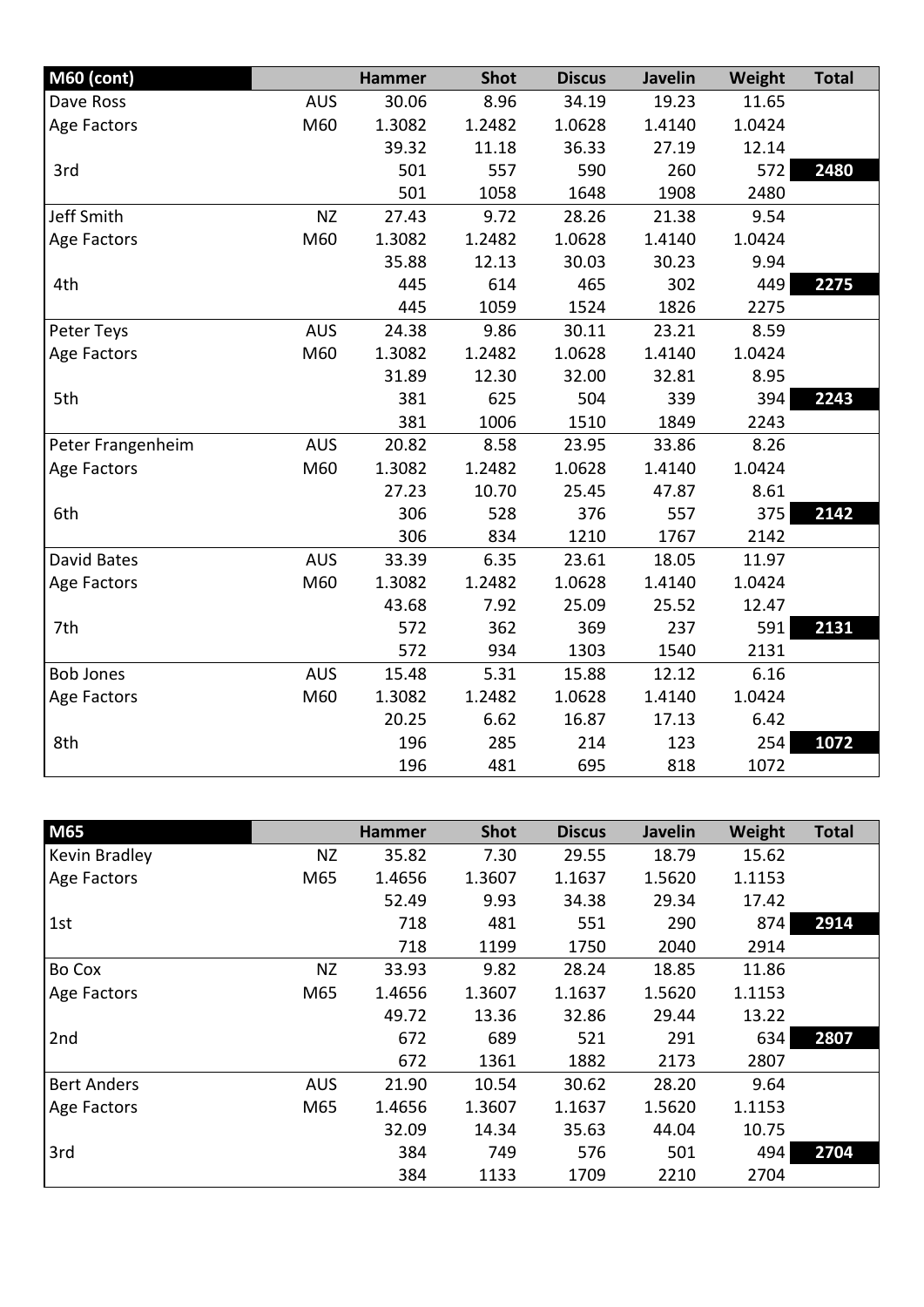| <b>M60 (cont)</b> |            | <b>Hammer</b> | <b>Shot</b> | <b>Discus</b> | Javelin | Weight | <b>Total</b> |
|-------------------|------------|---------------|-------------|---------------|---------|--------|--------------|
| Dave Ross         | <b>AUS</b> | 30.06         | 8.96        | 34.19         | 19.23   | 11.65  |              |
| Age Factors       | M60        | 1.3082        | 1.2482      | 1.0628        | 1.4140  | 1.0424 |              |
|                   |            | 39.32         | 11.18       | 36.33         | 27.19   | 12.14  |              |
| 3rd               |            | 501           | 557         | 590           | 260     | 572    | 2480         |
|                   |            | 501           | 1058        | 1648          | 1908    | 2480   |              |
| <b>Jeff Smith</b> | <b>NZ</b>  | 27.43         | 9.72        | 28.26         | 21.38   | 9.54   |              |
| Age Factors       | M60        | 1.3082        | 1.2482      | 1.0628        | 1.4140  | 1.0424 |              |
|                   |            | 35.88         | 12.13       | 30.03         | 30.23   | 9.94   |              |
| 4th               |            | 445           | 614         | 465           | 302     | 449    | 2275         |
|                   |            | 445           | 1059        | 1524          | 1826    | 2275   |              |
| Peter Teys        | <b>AUS</b> | 24.38         | 9.86        | 30.11         | 23.21   | 8.59   |              |
| Age Factors       | M60        | 1.3082        | 1.2482      | 1.0628        | 1.4140  | 1.0424 |              |
|                   |            | 31.89         | 12.30       | 32.00         | 32.81   | 8.95   |              |
| 5th               |            | 381           | 625         | 504           | 339     | 394    | 2243         |
|                   |            | 381           | 1006        | 1510          | 1849    | 2243   |              |
| Peter Frangenheim | <b>AUS</b> | 20.82         | 8.58        | 23.95         | 33.86   | 8.26   |              |
| Age Factors       | M60        | 1.3082        | 1.2482      | 1.0628        | 1.4140  | 1.0424 |              |
|                   |            | 27.23         | 10.70       | 25.45         | 47.87   | 8.61   |              |
| 6th               |            | 306           | 528         | 376           | 557     | 375    | 2142         |
|                   |            | 306           | 834         | 1210          | 1767    | 2142   |              |
| David Bates       | <b>AUS</b> | 33.39         | 6.35        | 23.61         | 18.05   | 11.97  |              |
| Age Factors       | M60        | 1.3082        | 1.2482      | 1.0628        | 1.4140  | 1.0424 |              |
|                   |            | 43.68         | 7.92        | 25.09         | 25.52   | 12.47  |              |
| 7th               |            | 572           | 362         | 369           | 237     | 591    | 2131         |
|                   |            | 572           | 934         | 1303          | 1540    | 2131   |              |
| <b>Bob Jones</b>  | <b>AUS</b> | 15.48         | 5.31        | 15.88         | 12.12   | 6.16   |              |
| Age Factors       | M60        | 1.3082        | 1.2482      | 1.0628        | 1.4140  | 1.0424 |              |
|                   |            | 20.25         | 6.62        | 16.87         | 17.13   | 6.42   |              |
| 8th               |            | 196           | 285         | 214           | 123     | 254    | 1072         |
|                   |            | 196           | 481         | 695           | 818     | 1072   |              |

| <b>M65</b>         |            | <b>Hammer</b> | <b>Shot</b> | <b>Discus</b> | <b>Javelin</b> | Weight | <b>Total</b> |
|--------------------|------------|---------------|-------------|---------------|----------------|--------|--------------|
| Kevin Bradley      | NZ         | 35.82         | 7.30        | 29.55         | 18.79          | 15.62  |              |
| Age Factors        | M65        | 1.4656        | 1.3607      | 1.1637        | 1.5620         | 1.1153 |              |
|                    |            | 52.49         | 9.93        | 34.38         | 29.34          | 17.42  |              |
| 1st                |            | 718           | 481         | 551           | 290            | 874    | 2914         |
|                    |            | 718           | 1199        | 1750          | 2040           | 2914   |              |
| Bo Cox             | <b>NZ</b>  | 33.93         | 9.82        | 28.24         | 18.85          | 11.86  |              |
| Age Factors        | M65        | 1.4656        | 1.3607      | 1.1637        | 1.5620         | 1.1153 |              |
|                    |            | 49.72         | 13.36       | 32.86         | 29.44          | 13.22  |              |
| 2nd                |            | 672           | 689         | 521           | 291            | 634    | 2807         |
|                    |            | 672           | 1361        | 1882          | 2173           | 2807   |              |
| <b>Bert Anders</b> | <b>AUS</b> | 21.90         | 10.54       | 30.62         | 28.20          | 9.64   |              |
| Age Factors        | M65        | 1.4656        | 1.3607      | 1.1637        | 1.5620         | 1.1153 |              |
|                    |            | 32.09         | 14.34       | 35.63         | 44.04          | 10.75  |              |
| 3rd                |            | 384           | 749         | 576           | 501            | 494    | 2704         |
|                    |            | 384           | 1133        | 1709          | 2210           | 2704   |              |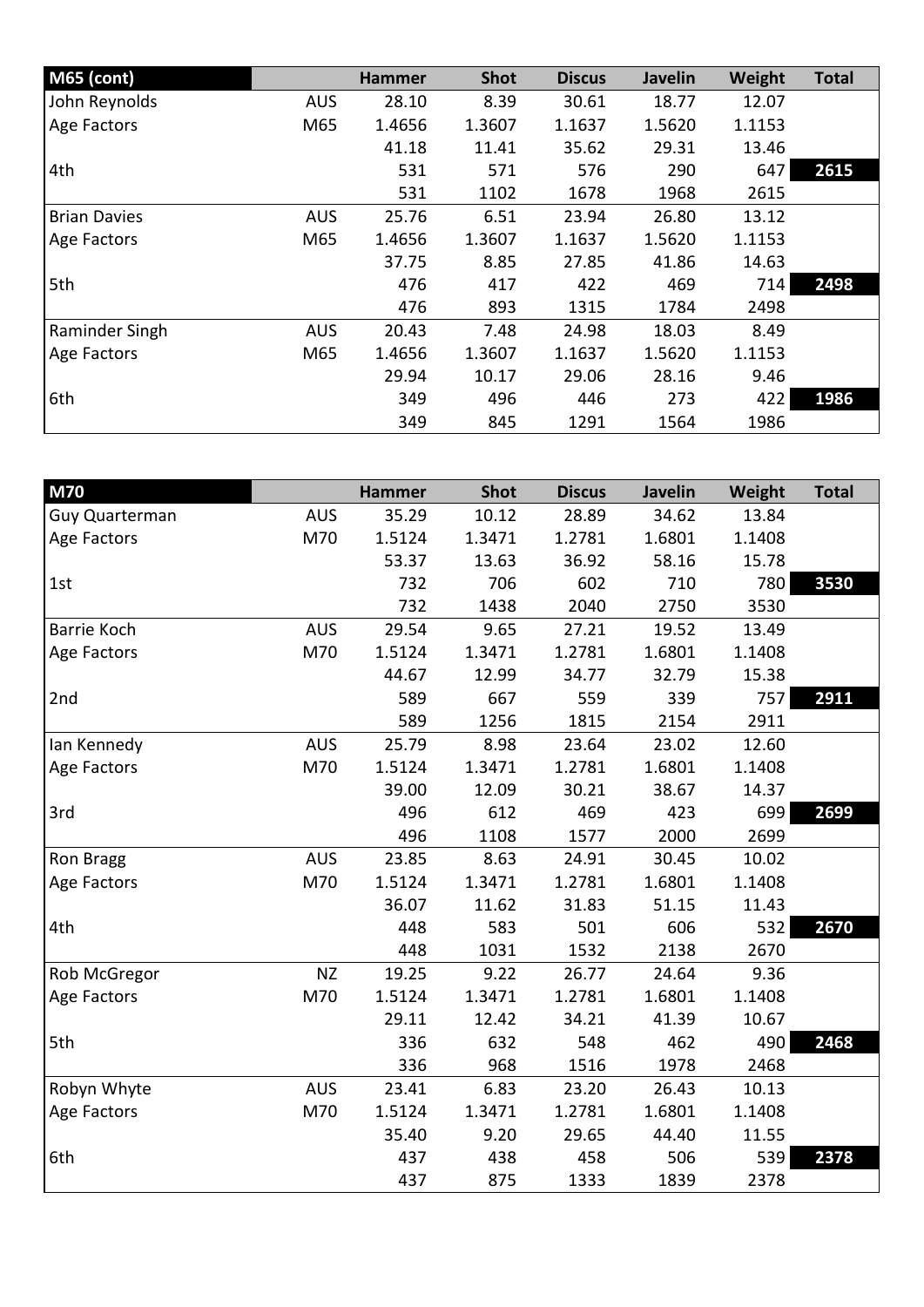| <b>M65 (cont)</b>   |            | <b>Hammer</b> | <b>Shot</b> | <b>Discus</b> | <b>Javelin</b> | Weight | <b>Total</b> |
|---------------------|------------|---------------|-------------|---------------|----------------|--------|--------------|
| John Reynolds       | <b>AUS</b> | 28.10         | 8.39        | 30.61         | 18.77          | 12.07  |              |
| Age Factors         | M65        | 1.4656        | 1.3607      | 1.1637        | 1.5620         | 1.1153 |              |
|                     |            | 41.18         | 11.41       | 35.62         | 29.31          | 13.46  |              |
| 4th                 |            | 531           | 571         | 576           | 290            | 647    | 2615         |
|                     |            | 531           | 1102        | 1678          | 1968           | 2615   |              |
| <b>Brian Davies</b> | <b>AUS</b> | 25.76         | 6.51        | 23.94         | 26.80          | 13.12  |              |
| Age Factors         | M65        | 1.4656        | 1.3607      | 1.1637        | 1.5620         | 1.1153 |              |
|                     |            | 37.75         | 8.85        | 27.85         | 41.86          | 14.63  |              |
| 5th                 |            | 476           | 417         | 422           | 469            | 714    | 2498         |
|                     |            | 476           | 893         | 1315          | 1784           | 2498   |              |
| Raminder Singh      | <b>AUS</b> | 20.43         | 7.48        | 24.98         | 18.03          | 8.49   |              |
| Age Factors         | M65        | 1.4656        | 1.3607      | 1.1637        | 1.5620         | 1.1153 |              |
|                     |            | 29.94         | 10.17       | 29.06         | 28.16          | 9.46   |              |
| 6th                 |            | 349           | 496         | 446           | 273            | 422    | 1986         |
|                     |            | 349           | 845         | 1291          | 1564           | 1986   |              |

| <b>M70</b>     |            | <b>Hammer</b> | <b>Shot</b> | <b>Discus</b> | <b>Javelin</b> | Weight | <b>Total</b> |
|----------------|------------|---------------|-------------|---------------|----------------|--------|--------------|
| Guy Quarterman | <b>AUS</b> | 35.29         | 10.12       | 28.89         | 34.62          | 13.84  |              |
| Age Factors    | M70        | 1.5124        | 1.3471      | 1.2781        | 1.6801         | 1.1408 |              |
|                |            | 53.37         | 13.63       | 36.92         | 58.16          | 15.78  |              |
| 1st            |            | 732           | 706         | 602           | 710            | 780    | 3530         |
|                |            | 732           | 1438        | 2040          | 2750           | 3530   |              |
| Barrie Koch    | <b>AUS</b> | 29.54         | 9.65        | 27.21         | 19.52          | 13.49  |              |
| Age Factors    | M70        | 1.5124        | 1.3471      | 1.2781        | 1.6801         | 1.1408 |              |
|                |            | 44.67         | 12.99       | 34.77         | 32.79          | 15.38  |              |
| 2nd            |            | 589           | 667         | 559           | 339            | 757    | 2911         |
|                |            | 589           | 1256        | 1815          | 2154           | 2911   |              |
| Ian Kennedy    | <b>AUS</b> | 25.79         | 8.98        | 23.64         | 23.02          | 12.60  |              |
| Age Factors    | M70        | 1.5124        | 1.3471      | 1.2781        | 1.6801         | 1.1408 |              |
|                |            | 39.00         | 12.09       | 30.21         | 38.67          | 14.37  |              |
| 3rd            |            | 496           | 612         | 469           | 423            | 699    | 2699         |
|                |            | 496           | 1108        | 1577          | 2000           | 2699   |              |
| Ron Bragg      | <b>AUS</b> | 23.85         | 8.63        | 24.91         | 30.45          | 10.02  |              |
| Age Factors    | M70        | 1.5124        | 1.3471      | 1.2781        | 1.6801         | 1.1408 |              |
|                |            | 36.07         | 11.62       | 31.83         | 51.15          | 11.43  |              |
| 4th            |            | 448           | 583         | 501           | 606            | 532    | 2670         |
|                |            | 448           | 1031        | 1532          | 2138           | 2670   |              |
| Rob McGregor   | <b>NZ</b>  | 19.25         | 9.22        | 26.77         | 24.64          | 9.36   |              |
| Age Factors    | M70        | 1.5124        | 1.3471      | 1.2781        | 1.6801         | 1.1408 |              |
|                |            | 29.11         | 12.42       | 34.21         | 41.39          | 10.67  |              |
| 5th            |            | 336           | 632         | 548           | 462            | 490    | 2468         |
|                |            | 336           | 968         | 1516          | 1978           | 2468   |              |
| Robyn Whyte    | <b>AUS</b> | 23.41         | 6.83        | 23.20         | 26.43          | 10.13  |              |
| Age Factors    | M70        | 1.5124        | 1.3471      | 1.2781        | 1.6801         | 1.1408 |              |
|                |            | 35.40         | 9.20        | 29.65         | 44.40          | 11.55  |              |
| 6th            |            | 437           | 438         | 458           | 506            | 539    | 2378         |
|                |            | 437           | 875         | 1333          | 1839           | 2378   |              |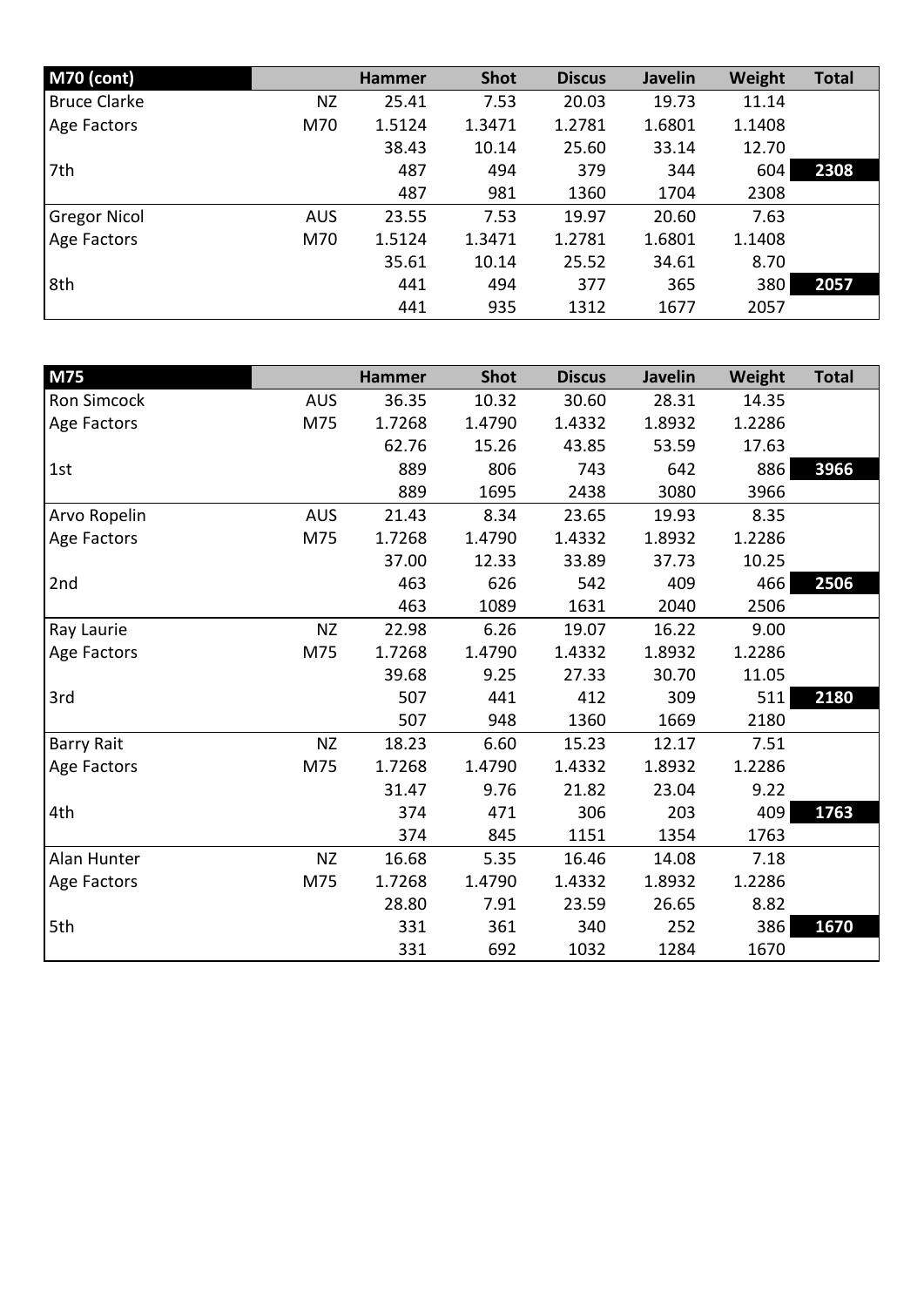| <b>M70 (cont)</b>   |            | <b>Hammer</b> | <b>Shot</b> | <b>Discus</b> | <b>Javelin</b> | Weight | <b>Total</b> |
|---------------------|------------|---------------|-------------|---------------|----------------|--------|--------------|
| <b>Bruce Clarke</b> | <b>NZ</b>  | 25.41         | 7.53        | 20.03         | 19.73          | 11.14  |              |
| Age Factors         | M70        | 1.5124        | 1.3471      | 1.2781        | 1.6801         | 1.1408 |              |
|                     |            | 38.43         | 10.14       | 25.60         | 33.14          | 12.70  |              |
| 7th                 |            | 487           | 494         | 379           | 344            | 604    | 2308         |
|                     |            | 487           | 981         | 1360          | 1704           | 2308   |              |
| <b>Gregor Nicol</b> | <b>AUS</b> | 23.55         | 7.53        | 19.97         | 20.60          | 7.63   |              |
| Age Factors         | M70        | 1.5124        | 1.3471      | 1.2781        | 1.6801         | 1.1408 |              |
|                     |            | 35.61         | 10.14       | 25.52         | 34.61          | 8.70   |              |
| 8th                 |            | 441           | 494         | 377           | 365            | 380    | 2057         |
|                     |            | 441           | 935         | 1312          | 1677           | 2057   |              |

| M75               |            | <b>Hammer</b> | <b>Shot</b> | <b>Discus</b> | <b>Javelin</b> | Weight | <b>Total</b> |
|-------------------|------------|---------------|-------------|---------------|----------------|--------|--------------|
| Ron Simcock       | <b>AUS</b> | 36.35         | 10.32       | 30.60         | 28.31          | 14.35  |              |
| Age Factors       | M75        | 1.7268        | 1.4790      | 1.4332        | 1.8932         | 1.2286 |              |
|                   |            | 62.76         | 15.26       | 43.85         | 53.59          | 17.63  |              |
| 1st               |            | 889           | 806         | 743           | 642            | 886    | 3966         |
|                   |            | 889           | 1695        | 2438          | 3080           | 3966   |              |
| Arvo Ropelin      | <b>AUS</b> | 21.43         | 8.34        | 23.65         | 19.93          | 8.35   |              |
| Age Factors       | M75        | 1.7268        | 1.4790      | 1.4332        | 1.8932         | 1.2286 |              |
|                   |            | 37.00         | 12.33       | 33.89         | 37.73          | 10.25  |              |
| 2nd               |            | 463           | 626         | 542           | 409            | 466    | 2506         |
|                   |            | 463           | 1089        | 1631          | 2040           | 2506   |              |
| Ray Laurie        | <b>NZ</b>  | 22.98         | 6.26        | 19.07         | 16.22          | 9.00   |              |
| Age Factors       | M75        | 1.7268        | 1.4790      | 1.4332        | 1.8932         | 1.2286 |              |
|                   |            | 39.68         | 9.25        | 27.33         | 30.70          | 11.05  |              |
| 3rd               |            | 507           | 441         | 412           | 309            | 511    | 2180         |
|                   |            | 507           | 948         | 1360          | 1669           | 2180   |              |
| <b>Barry Rait</b> | <b>NZ</b>  | 18.23         | 6.60        | 15.23         | 12.17          | 7.51   |              |
| Age Factors       | M75        | 1.7268        | 1.4790      | 1.4332        | 1.8932         | 1.2286 |              |
|                   |            | 31.47         | 9.76        | 21.82         | 23.04          | 9.22   |              |
| 4th               |            | 374           | 471         | 306           | 203            | 409    | 1763         |
|                   |            | 374           | 845         | 1151          | 1354           | 1763   |              |
| Alan Hunter       | <b>NZ</b>  | 16.68         | 5.35        | 16.46         | 14.08          | 7.18   |              |
| Age Factors       | M75        | 1.7268        | 1.4790      | 1.4332        | 1.8932         | 1.2286 |              |
|                   |            | 28.80         | 7.91        | 23.59         | 26.65          | 8.82   |              |
| 5th               |            | 331           | 361         | 340           | 252            | 386    | 1670         |
|                   |            | 331           | 692         | 1032          | 1284           | 1670   |              |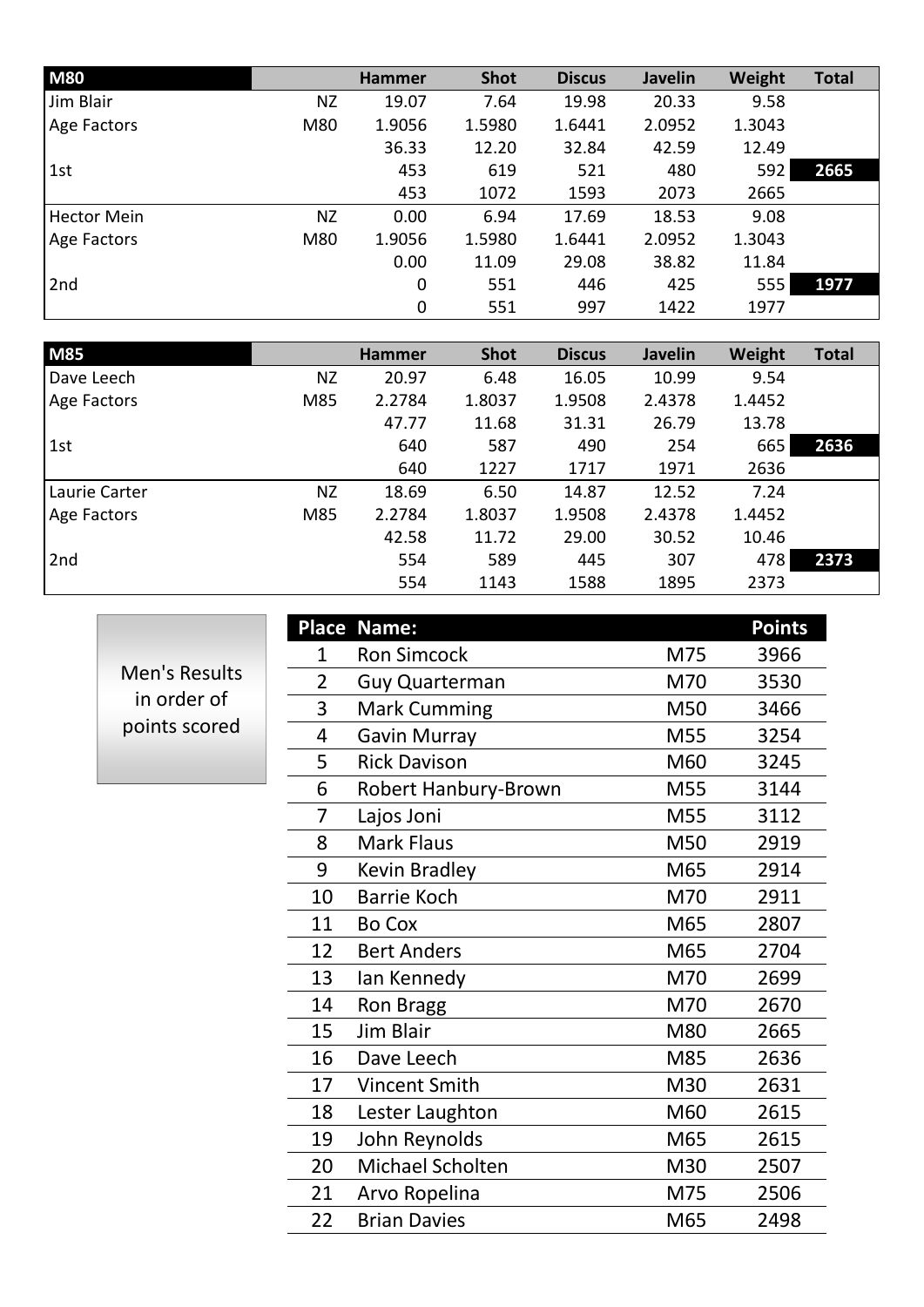| <b>M80</b>         |           | <b>Hammer</b>    | <b>Shot</b> | <b>Discus</b> | <b>Javelin</b> | Weight | <b>Total</b> |
|--------------------|-----------|------------------|-------------|---------------|----------------|--------|--------------|
| Jim Blair          | <b>NZ</b> | 19.07            | 7.64        | 19.98         | 20.33          | 9.58   |              |
| Age Factors        | M80       | 1.9056           | 1.5980      | 1.6441        | 2.0952         | 1.3043 |              |
|                    |           | 36.33            | 12.20       | 32.84         | 42.59          | 12.49  |              |
| 1st                |           | 453              | 619         | 521           | 480            | 592    | 2665         |
|                    |           | 453              | 1072        | 1593          | 2073           | 2665   |              |
| <b>Hector Mein</b> | <b>NZ</b> | 0.00             | 6.94        | 17.69         | 18.53          | 9.08   |              |
| Age Factors        | M80       | 1.9056           | 1.5980      | 1.6441        | 2.0952         | 1.3043 |              |
|                    |           | 0.00             | 11.09       | 29.08         | 38.82          | 11.84  |              |
| 2nd                |           | $\boldsymbol{0}$ | 551         | 446           | 425            | 555    | 1977         |
|                    |           | $\mathbf 0$      | 551         | 997           | 1422           | 1977   |              |

| <b>M85</b>    |           | <b>Hammer</b> | <b>Shot</b> | <b>Discus</b> | <b>Javelin</b> | Weight | <b>Total</b> |
|---------------|-----------|---------------|-------------|---------------|----------------|--------|--------------|
| Dave Leech    | <b>NZ</b> | 20.97         | 6.48        | 16.05         | 10.99          | 9.54   |              |
| Age Factors   | M85       | 2.2784        | 1.8037      | 1.9508        | 2.4378         | 1.4452 |              |
|               |           | 47.77         | 11.68       | 31.31         | 26.79          | 13.78  |              |
| 1st           |           | 640           | 587         | 490           | 254            | 665    | 2636         |
|               |           | 640           | 1227        | 1717          | 1971           | 2636   |              |
| Laurie Carter | NZ        | 18.69         | 6.50        | 14.87         | 12.52          | 7.24   |              |
| Age Factors   | M85       | 2.2784        | 1.8037      | 1.9508        | 2.4378         | 1.4452 |              |
|               |           | 42.58         | 11.72       | 29.00         | 30.52          | 10.46  |              |
| 2nd           |           | 554           | 589         | 445           | 307            | 478    | 2373         |
|               |           | 554           | 1143        | 1588          | 1895           | 2373   |              |

Men's Results in order of points scored

|                | Place Name:           |     | <b>Points</b> |
|----------------|-----------------------|-----|---------------|
| $\mathbf{1}$   | <b>Ron Simcock</b>    | M75 | 3966          |
| $\overline{2}$ | <b>Guy Quarterman</b> | M70 | 3530          |
| 3              | <b>Mark Cumming</b>   | M50 | 3466          |
| 4              | <b>Gavin Murray</b>   | M55 | 3254          |
| 5              | <b>Rick Davison</b>   | M60 | 3245          |
| 6              | Robert Hanbury-Brown  | M55 | 3144          |
| 7              | Lajos Joni            | M55 | 3112          |
| 8              | <b>Mark Flaus</b>     | M50 | 2919          |
| 9              | <b>Kevin Bradley</b>  | M65 | 2914          |
| 10             | <b>Barrie Koch</b>    | M70 | 2911          |
| 11             | <b>Bo Cox</b>         | M65 | 2807          |
| 12             | <b>Bert Anders</b>    | M65 | 2704          |
| 13             | lan Kennedy           | M70 | 2699          |
| 14             | <b>Ron Bragg</b>      | M70 | 2670          |
| 15             | Jim Blair             | M80 | 2665          |
| 16             | Dave Leech            | M85 | 2636          |
| 17             | <b>Vincent Smith</b>  | M30 | 2631          |
| 18             | Lester Laughton       | M60 | 2615          |
| 19             | John Reynolds         | M65 | 2615          |
| 20             | Michael Scholten      | M30 | 2507          |
| 21             | Arvo Ropelina         | M75 | 2506          |
| 22             | <b>Brian Davies</b>   | M65 | 2498          |
|                |                       |     |               |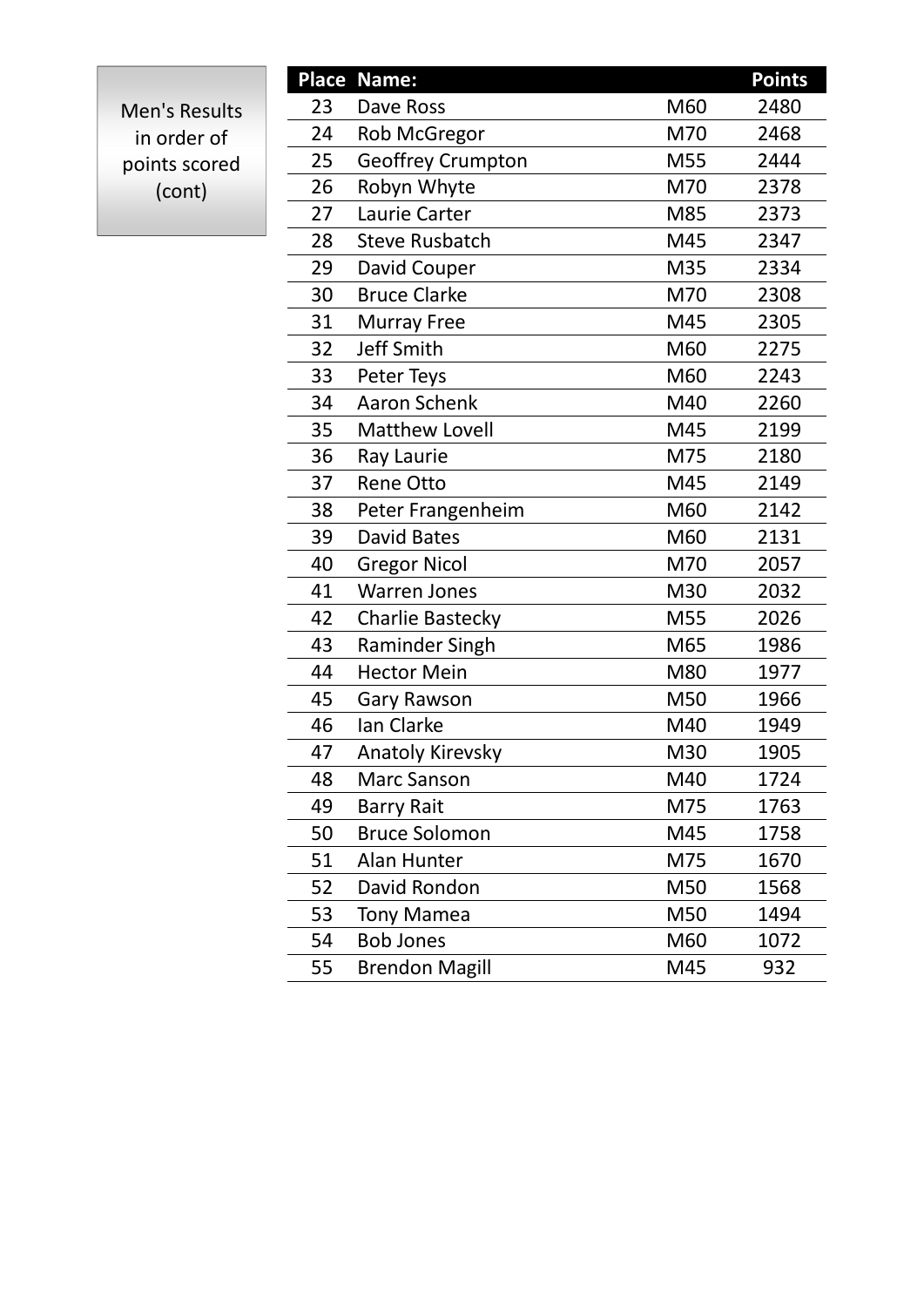Men's Results in order of points scored (cont)

|    | <b>Place Name:</b>       |     | <b>Points</b> |
|----|--------------------------|-----|---------------|
| 23 | Dave Ross                | M60 | 2480          |
| 24 | Rob McGregor             | M70 | 2468          |
| 25 | <b>Geoffrey Crumpton</b> | M55 | 2444          |
| 26 | Robyn Whyte              | M70 | 2378          |
| 27 | Laurie Carter            | M85 | 2373          |
| 28 | <b>Steve Rusbatch</b>    | M45 | 2347          |
| 29 | David Couper             | M35 | 2334          |
| 30 | <b>Bruce Clarke</b>      | M70 | 2308          |
| 31 | <b>Murray Free</b>       | M45 | 2305          |
| 32 | <b>Jeff Smith</b>        | M60 | 2275          |
| 33 | Peter Teys               | M60 | 2243          |
| 34 | <b>Aaron Schenk</b>      | M40 | 2260          |
| 35 | <b>Matthew Lovell</b>    | M45 | 2199          |
| 36 | Ray Laurie               | M75 | 2180          |
| 37 | <b>Rene Otto</b>         | M45 | 2149          |
| 38 | Peter Frangenheim        | M60 | 2142          |
| 39 | David Bates              | M60 | 2131          |
| 40 | <b>Gregor Nicol</b>      | M70 | 2057          |
| 41 | <b>Warren Jones</b>      | M30 | 2032          |
| 42 | <b>Charlie Bastecky</b>  | M55 | 2026          |
| 43 | <b>Raminder Singh</b>    | M65 | 1986          |
| 44 | <b>Hector Mein</b>       | M80 | 1977          |
| 45 | Gary Rawson              | M50 | 1966          |
| 46 | Ian Clarke               | M40 | 1949          |
| 47 | <b>Anatoly Kirevsky</b>  | M30 | 1905          |
| 48 | <b>Marc Sanson</b>       | M40 | 1724          |
| 49 | <b>Barry Rait</b>        | M75 | 1763          |
| 50 | <b>Bruce Solomon</b>     | M45 | 1758          |
| 51 | Alan Hunter              | M75 | 1670          |
| 52 | David Rondon             | M50 | 1568          |
| 53 | <b>Tony Mamea</b>        | M50 | 1494          |
| 54 | <b>Bob Jones</b>         | M60 | 1072          |
| 55 | <b>Brendon Magill</b>    | M45 | 932           |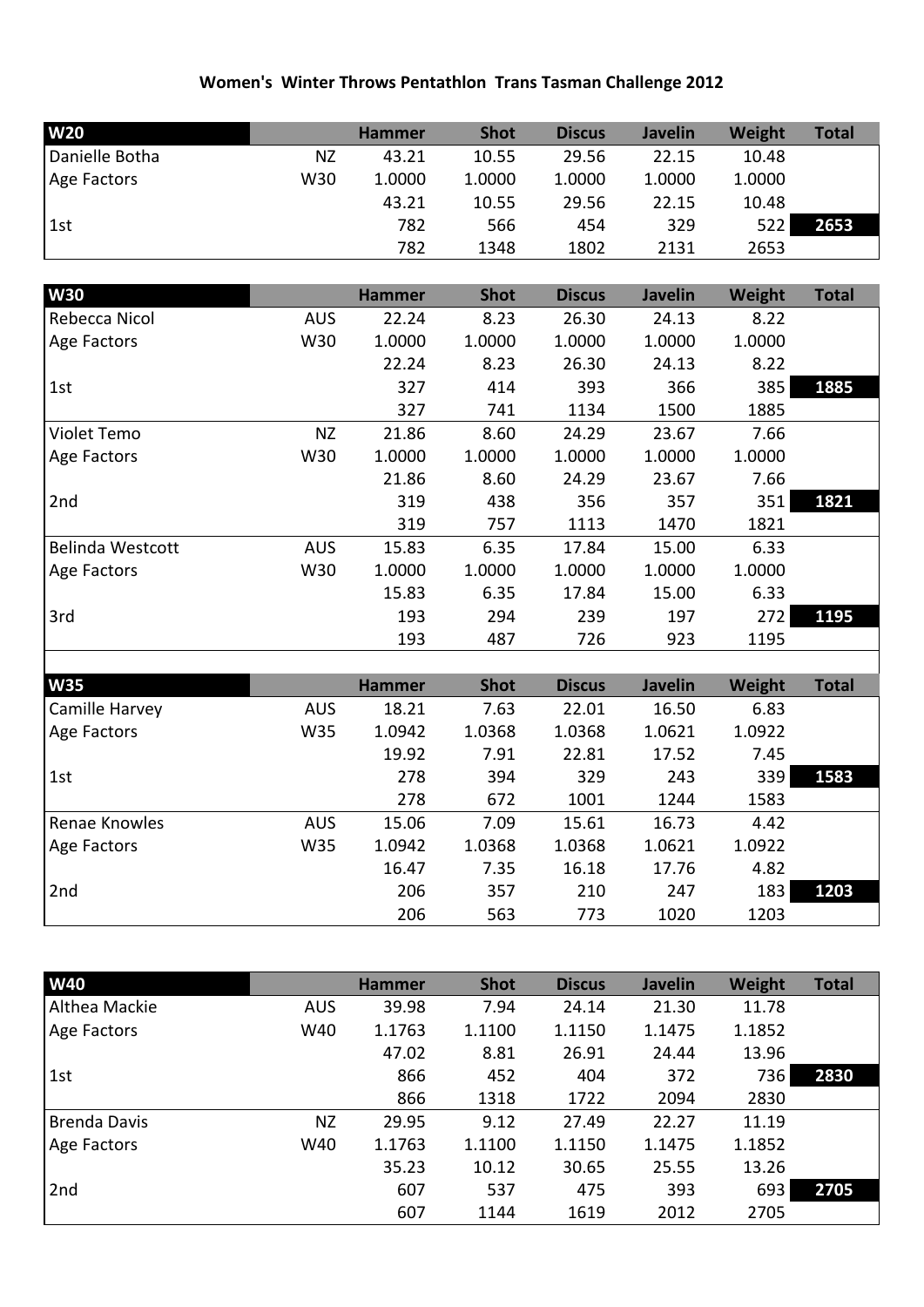## **Women's Winter Throws Pentathlon Trans Tasman Challenge 2012**

| <b>W20</b>         |     | <b>Hammer</b> | <b>Shot</b> | <b>Discus</b> | <b>Javelin</b> | Weight | <b>Total</b> |
|--------------------|-----|---------------|-------------|---------------|----------------|--------|--------------|
| Danielle Botha     | ΝZ  | 43.21         | 10.55       | 29.56         | 22.15          | 10.48  |              |
| <b>Age Factors</b> | W30 | 1.0000        | 1.0000      | 1.0000        | 1.0000         | 1.0000 |              |
|                    |     | 43.21         | 10.55       | 29.56         | 22.15          | 10.48  |              |
| 1st                |     | 782           | 566         | 454           | 329            | 522 l  | 2653         |
|                    |     | 782           | 1348        | 1802          | 2131           | 2653   |              |

| <b>W30</b>              |            | <b>Hammer</b> | <b>Shot</b> | <b>Discus</b> | <b>Javelin</b> | Weight | <b>Total</b> |
|-------------------------|------------|---------------|-------------|---------------|----------------|--------|--------------|
| Rebecca Nicol           | <b>AUS</b> | 22.24         | 8.23        | 26.30         | 24.13          | 8.22   |              |
| Age Factors             | W30        | 1.0000        | 1.0000      | 1.0000        | 1.0000         | 1.0000 |              |
|                         |            | 22.24         | 8.23        | 26.30         | 24.13          | 8.22   |              |
| 1st                     |            | 327           | 414         | 393           | 366            | 385    | 1885         |
|                         |            | 327           | 741         | 1134          | 1500           | 1885   |              |
| Violet Temo             | <b>NZ</b>  | 21.86         | 8.60        | 24.29         | 23.67          | 7.66   |              |
| Age Factors             | W30        | 1.0000        | 1.0000      | 1.0000        | 1.0000         | 1.0000 |              |
|                         |            | 21.86         | 8.60        | 24.29         | 23.67          | 7.66   |              |
| 2nd                     |            | 319           | 438         | 356           | 357            | 351    | 1821         |
|                         |            | 319           | 757         | 1113          | 1470           | 1821   |              |
| <b>Belinda Westcott</b> | <b>AUS</b> | 15.83         | 6.35        | 17.84         | 15.00          | 6.33   |              |
| Age Factors             | W30        | 1.0000        | 1.0000      | 1.0000        | 1.0000         | 1.0000 |              |
|                         |            | 15.83         | 6.35        | 17.84         | 15.00          | 6.33   |              |
| 3rd                     |            | 193           | 294         | 239           | 197            | 272    | 1195         |
|                         |            | 193           | 487         | 726           | 923            | 1195   |              |

| <b>W35</b>     |            | <b>Hammer</b> | <b>Shot</b> | <b>Discus</b> | <b>Javelin</b> | Weight | <b>Total</b> |
|----------------|------------|---------------|-------------|---------------|----------------|--------|--------------|
| Camille Harvey | <b>AUS</b> | 18.21         | 7.63        | 22.01         | 16.50          | 6.83   |              |
| Age Factors    | W35        | 1.0942        | 1.0368      | 1.0368        | 1.0621         | 1.0922 |              |
|                |            | 19.92         | 7.91        | 22.81         | 17.52          | 7.45   |              |
| 1st            |            | 278           | 394         | 329           | 243            | 339    | 1583         |
|                |            | 278           | 672         | 1001          | 1244           | 1583   |              |
| Renae Knowles  | <b>AUS</b> | 15.06         | 7.09        | 15.61         | 16.73          | 4.42   |              |
| Age Factors    | W35        | 1.0942        | 1.0368      | 1.0368        | 1.0621         | 1.0922 |              |
|                |            | 16.47         | 7.35        | 16.18         | 17.76          | 4.82   |              |
| 2nd            |            | 206           | 357         | 210           | 247            | 183    | 1203         |
|                |            | 206           | 563         | 773           | 1020           | 1203   |              |

| <b>W40</b>          |            | <b>Hammer</b> | <b>Shot</b> | <b>Discus</b> | <b>Javelin</b> | Weight | <b>Total</b> |
|---------------------|------------|---------------|-------------|---------------|----------------|--------|--------------|
| Althea Mackie       | <b>AUS</b> | 39.98         | 7.94        | 24.14         | 21.30          | 11.78  |              |
| Age Factors         | W40        | 1.1763        | 1.1100      | 1.1150        | 1.1475         | 1.1852 |              |
|                     |            | 47.02         | 8.81        | 26.91         | 24.44          | 13.96  |              |
| 1st                 |            | 866           | 452         | 404           | 372            | 736    | 2830         |
|                     |            | 866           | 1318        | 1722          | 2094           | 2830   |              |
| <b>Brenda Davis</b> | ΝZ         | 29.95         | 9.12        | 27.49         | 22.27          | 11.19  |              |
| Age Factors         | W40        | 1.1763        | 1.1100      | 1.1150        | 1.1475         | 1.1852 |              |
|                     |            | 35.23         | 10.12       | 30.65         | 25.55          | 13.26  |              |
| 2nd                 |            | 607           | 537         | 475           | 393            | 693    | 2705         |
|                     |            | 607           | 1144        | 1619          | 2012           | 2705   |              |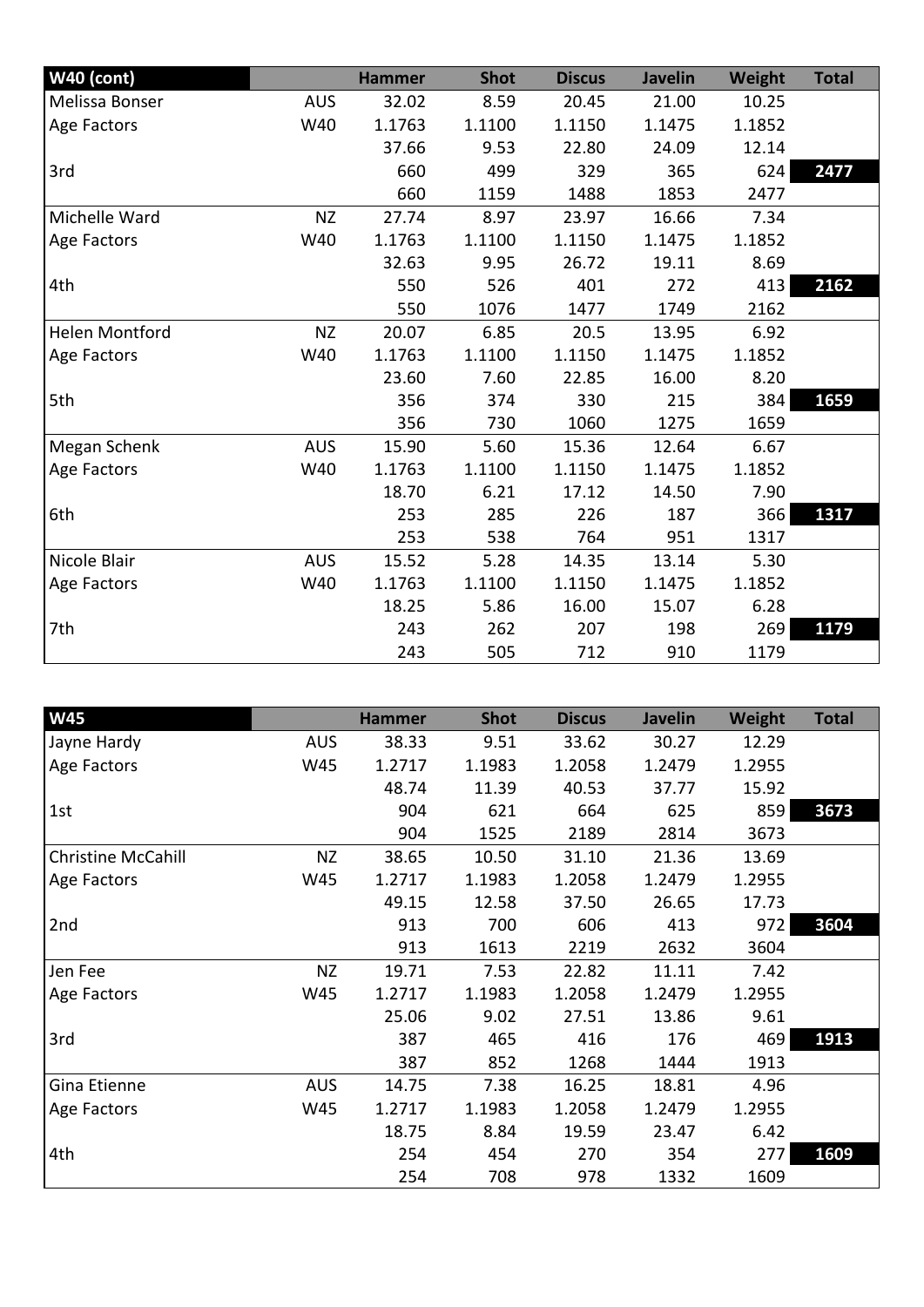| <b>W40 (cont)</b>     |            | <b>Hammer</b> | <b>Shot</b> | <b>Discus</b> | <b>Javelin</b> | Weight | <b>Total</b> |
|-----------------------|------------|---------------|-------------|---------------|----------------|--------|--------------|
| Melissa Bonser        | <b>AUS</b> | 32.02         | 8.59        | 20.45         | 21.00          | 10.25  |              |
| Age Factors           | W40        | 1.1763        | 1.1100      | 1.1150        | 1.1475         | 1.1852 |              |
|                       |            | 37.66         | 9.53        | 22.80         | 24.09          | 12.14  |              |
| 3rd                   |            | 660           | 499         | 329           | 365            | 624    | 2477         |
|                       |            | 660           | 1159        | 1488          | 1853           | 2477   |              |
| Michelle Ward         | <b>NZ</b>  | 27.74         | 8.97        | 23.97         | 16.66          | 7.34   |              |
| Age Factors           | W40        | 1.1763        | 1.1100      | 1.1150        | 1.1475         | 1.1852 |              |
|                       |            | 32.63         | 9.95        | 26.72         | 19.11          | 8.69   |              |
| 4th                   |            | 550           | 526         | 401           | 272            | 413    | 2162         |
|                       |            | 550           | 1076        | 1477          | 1749           | 2162   |              |
| <b>Helen Montford</b> | <b>NZ</b>  | 20.07         | 6.85        | 20.5          | 13.95          | 6.92   |              |
| Age Factors           | W40        | 1.1763        | 1.1100      | 1.1150        | 1.1475         | 1.1852 |              |
|                       |            | 23.60         | 7.60        | 22.85         | 16.00          | 8.20   |              |
| 5th                   |            | 356           | 374         | 330           | 215            | 384    | 1659         |
|                       |            | 356           | 730         | 1060          | 1275           | 1659   |              |
| Megan Schenk          | <b>AUS</b> | 15.90         | 5.60        | 15.36         | 12.64          | 6.67   |              |
| Age Factors           | W40        | 1.1763        | 1.1100      | 1.1150        | 1.1475         | 1.1852 |              |
|                       |            | 18.70         | 6.21        | 17.12         | 14.50          | 7.90   |              |
| 6th                   |            | 253           | 285         | 226           | 187            | 366    | 1317         |
|                       |            | 253           | 538         | 764           | 951            | 1317   |              |
| Nicole Blair          | <b>AUS</b> | 15.52         | 5.28        | 14.35         | 13.14          | 5.30   |              |
| Age Factors           | W40        | 1.1763        | 1.1100      | 1.1150        | 1.1475         | 1.1852 |              |
|                       |            | 18.25         | 5.86        | 16.00         | 15.07          | 6.28   |              |
| 7th                   |            | 243           | 262         | 207           | 198            | 269    | 1179         |
|                       |            | 243           | 505         | 712           | 910            | 1179   |              |

| W45                       |            | <b>Hammer</b> | <b>Shot</b> | <b>Discus</b> | <b>Javelin</b> | Weight | <b>Total</b> |
|---------------------------|------------|---------------|-------------|---------------|----------------|--------|--------------|
| Jayne Hardy               | <b>AUS</b> | 38.33         | 9.51        | 33.62         | 30.27          | 12.29  |              |
| Age Factors               | W45        | 1.2717        | 1.1983      | 1.2058        | 1.2479         | 1.2955 |              |
|                           |            | 48.74         | 11.39       | 40.53         | 37.77          | 15.92  |              |
| 1st                       |            | 904           | 621         | 664           | 625            | 859    | 3673         |
|                           |            | 904           | 1525        | 2189          | 2814           | 3673   |              |
| <b>Christine McCahill</b> | <b>NZ</b>  | 38.65         | 10.50       | 31.10         | 21.36          | 13.69  |              |
| Age Factors               | W45        | 1.2717        | 1.1983      | 1.2058        | 1.2479         | 1.2955 |              |
|                           |            | 49.15         | 12.58       | 37.50         | 26.65          | 17.73  |              |
| 2nd                       |            | 913           | 700         | 606           | 413            | 972    | 3604         |
|                           |            | 913           | 1613        | 2219          | 2632           | 3604   |              |
| Jen Fee                   | <b>NZ</b>  | 19.71         | 7.53        | 22.82         | 11.11          | 7.42   |              |
| Age Factors               | W45        | 1.2717        | 1.1983      | 1.2058        | 1.2479         | 1.2955 |              |
|                           |            | 25.06         | 9.02        | 27.51         | 13.86          | 9.61   |              |
| 3rd                       |            | 387           | 465         | 416           | 176            | 469    | 1913         |
|                           |            | 387           | 852         | 1268          | 1444           | 1913   |              |
| Gina Etienne              | <b>AUS</b> | 14.75         | 7.38        | 16.25         | 18.81          | 4.96   |              |
| Age Factors               | W45        | 1.2717        | 1.1983      | 1.2058        | 1.2479         | 1.2955 |              |
|                           |            | 18.75         | 8.84        | 19.59         | 23.47          | 6.42   |              |
| 4th                       |            | 254           | 454         | 270           | 354            | 277    | 1609         |
|                           |            | 254           | 708         | 978           | 1332           | 1609   |              |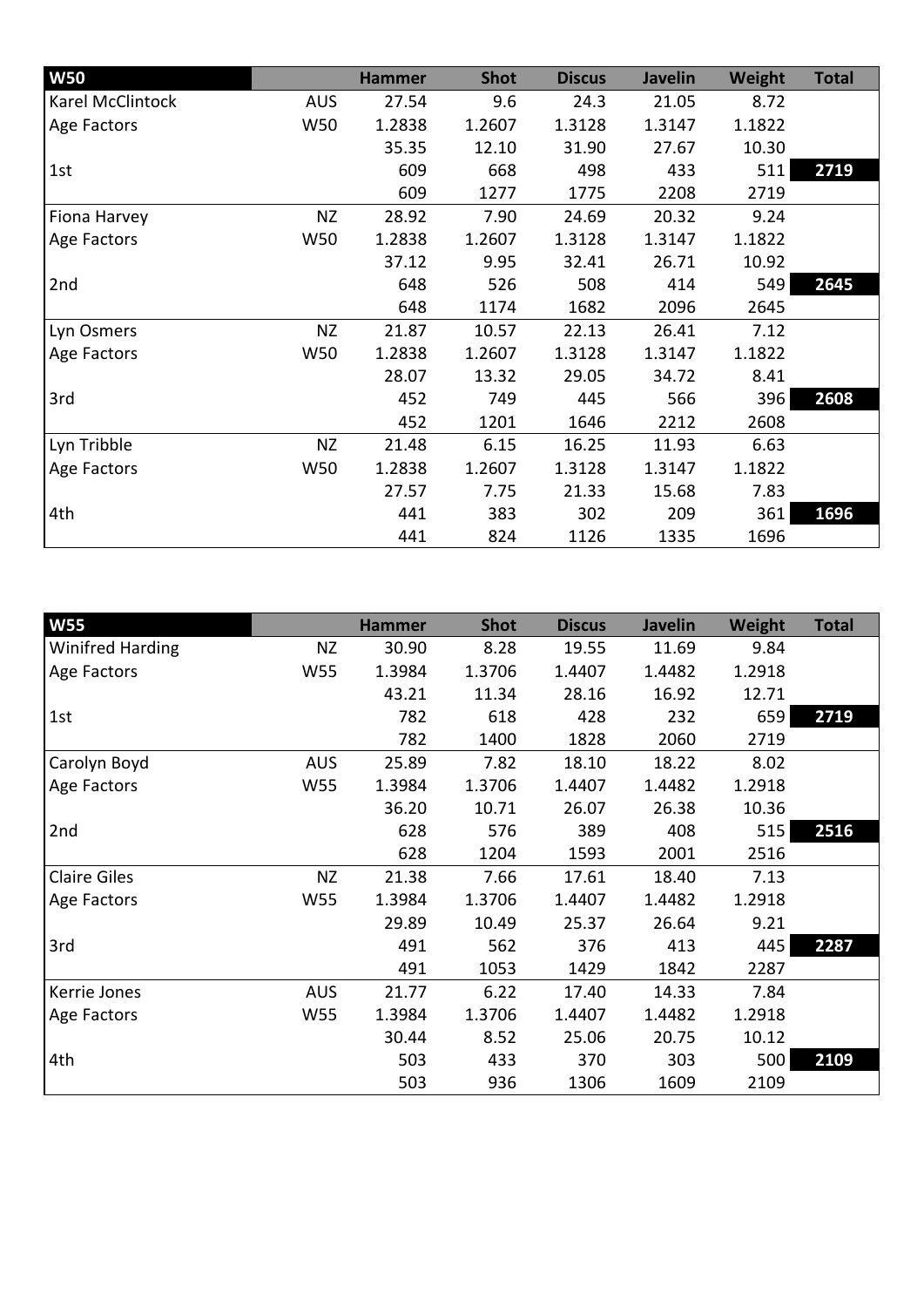| <b>W50</b>       |            | <b>Hammer</b> | <b>Shot</b> | <b>Discus</b> | <b>Javelin</b> | <b>Weight</b> | <b>Total</b> |
|------------------|------------|---------------|-------------|---------------|----------------|---------------|--------------|
| Karel McClintock | <b>AUS</b> | 27.54         | 9.6         | 24.3          | 21.05          | 8.72          |              |
| Age Factors      | W50        | 1.2838        | 1.2607      | 1.3128        | 1.3147         | 1.1822        |              |
|                  |            | 35.35         | 12.10       | 31.90         | 27.67          | 10.30         |              |
| 1st              |            | 609           | 668         | 498           | 433            | 511           | 2719         |
|                  |            | 609           | 1277        | 1775          | 2208           | 2719          |              |
| Fiona Harvey     | <b>NZ</b>  | 28.92         | 7.90        | 24.69         | 20.32          | 9.24          |              |
| Age Factors      | W50        | 1.2838        | 1.2607      | 1.3128        | 1.3147         | 1.1822        |              |
|                  |            | 37.12         | 9.95        | 32.41         | 26.71          | 10.92         |              |
| 2nd              |            | 648           | 526         | 508           | 414            | 549           | 2645         |
|                  |            | 648           | 1174        | 1682          | 2096           | 2645          |              |
| Lyn Osmers       | <b>NZ</b>  | 21.87         | 10.57       | 22.13         | 26.41          | 7.12          |              |
| Age Factors      | W50        | 1.2838        | 1.2607      | 1.3128        | 1.3147         | 1.1822        |              |
|                  |            | 28.07         | 13.32       | 29.05         | 34.72          | 8.41          |              |
| 3rd              |            | 452           | 749         | 445           | 566            | 396           | 2608         |
|                  |            | 452           | 1201        | 1646          | 2212           | 2608          |              |
| Lyn Tribble      | <b>NZ</b>  | 21.48         | 6.15        | 16.25         | 11.93          | 6.63          |              |
| Age Factors      | W50        | 1.2838        | 1.2607      | 1.3128        | 1.3147         | 1.1822        |              |
|                  |            | 27.57         | 7.75        | 21.33         | 15.68          | 7.83          |              |
| 4th              |            | 441           | 383         | 302           | 209            | 361           | 1696         |
|                  |            | 441           | 824         | 1126          | 1335           | 1696          |              |

| <b>W55</b>              |            | <b>Hammer</b> | <b>Shot</b> | <b>Discus</b> | <b>Javelin</b> | <b>Weight</b> | <b>Total</b> |
|-------------------------|------------|---------------|-------------|---------------|----------------|---------------|--------------|
| <b>Winifred Harding</b> | NZ         | 30.90         | 8.28        | 19.55         | 11.69          | 9.84          |              |
| Age Factors             | W55        | 1.3984        | 1.3706      | 1.4407        | 1.4482         | 1.2918        |              |
|                         |            | 43.21         | 11.34       | 28.16         | 16.92          | 12.71         |              |
| 1st                     |            | 782           | 618         | 428           | 232            | 659           | 2719         |
|                         |            | 782           | 1400        | 1828          | 2060           | 2719          |              |
| Carolyn Boyd            | <b>AUS</b> | 25.89         | 7.82        | 18.10         | 18.22          | 8.02          |              |
| Age Factors             | W55        | 1.3984        | 1.3706      | 1.4407        | 1.4482         | 1.2918        |              |
|                         |            | 36.20         | 10.71       | 26.07         | 26.38          | 10.36         |              |
| 2nd                     |            | 628           | 576         | 389           | 408            | 515           | 2516         |
|                         |            | 628           | 1204        | 1593          | 2001           | 2516          |              |
| <b>Claire Giles</b>     | <b>NZ</b>  | 21.38         | 7.66        | 17.61         | 18.40          | 7.13          |              |
| Age Factors             | W55        | 1.3984        | 1.3706      | 1.4407        | 1.4482         | 1.2918        |              |
|                         |            | 29.89         | 10.49       | 25.37         | 26.64          | 9.21          |              |
| 3rd                     |            | 491           | 562         | 376           | 413            | 445           | 2287         |
|                         |            | 491           | 1053        | 1429          | 1842           | 2287          |              |
| Kerrie Jones            | <b>AUS</b> | 21.77         | 6.22        | 17.40         | 14.33          | 7.84          |              |
| Age Factors             | W55        | 1.3984        | 1.3706      | 1.4407        | 1.4482         | 1.2918        |              |
|                         |            | 30.44         | 8.52        | 25.06         | 20.75          | 10.12         |              |
| 4th                     |            | 503           | 433         | 370           | 303            | 500           | 2109         |
|                         |            | 503           | 936         | 1306          | 1609           | 2109          |              |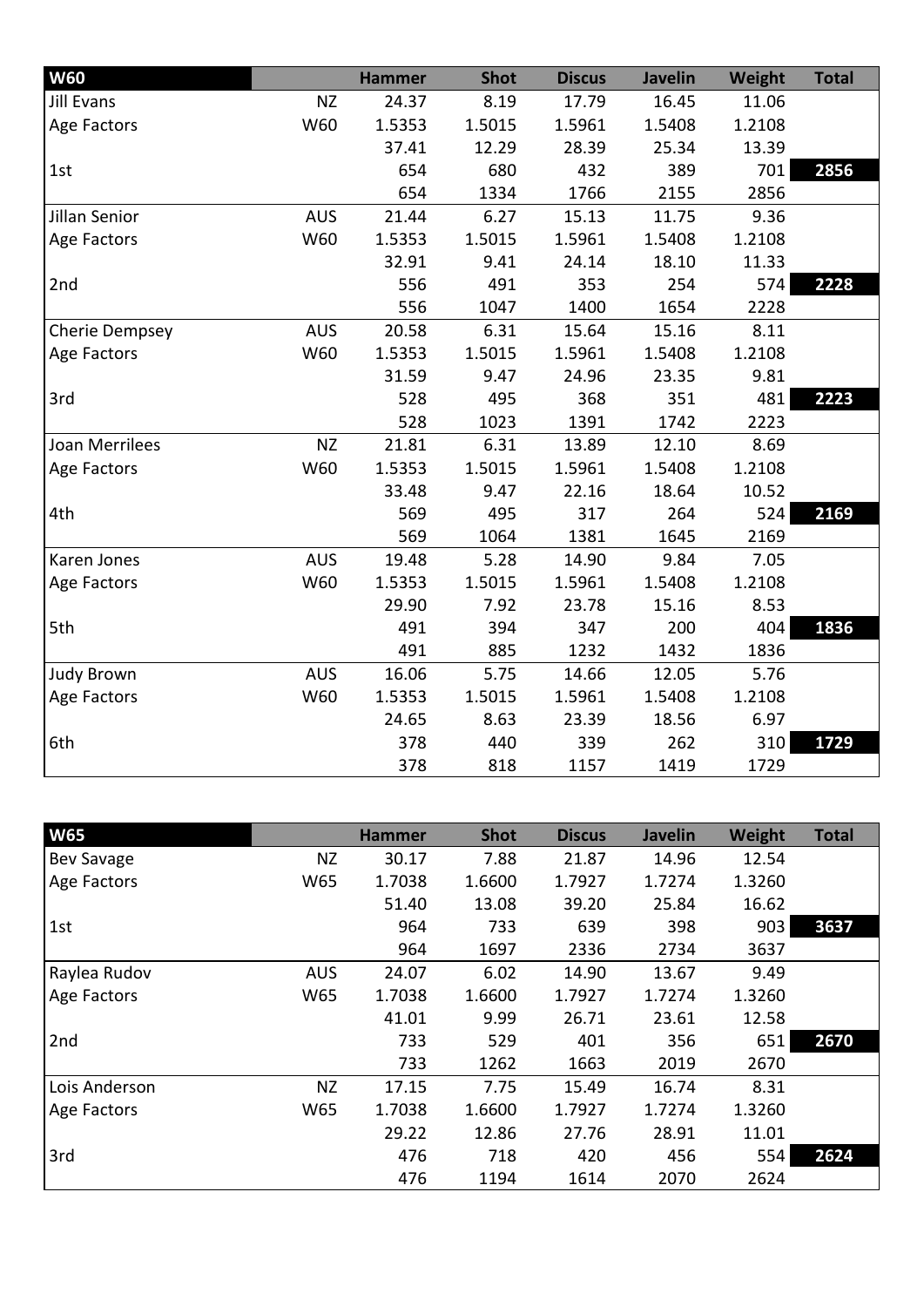| <b>W60</b>            |            | <b>Hammer</b> | <b>Shot</b> | <b>Discus</b> | <b>Javelin</b> | Weight | <b>Total</b> |
|-----------------------|------------|---------------|-------------|---------------|----------------|--------|--------------|
| <b>Jill Evans</b>     | <b>NZ</b>  | 24.37         | 8.19        | 17.79         | 16.45          | 11.06  |              |
| Age Factors           | W60        | 1.5353        | 1.5015      | 1.5961        | 1.5408         | 1.2108 |              |
|                       |            | 37.41         | 12.29       | 28.39         | 25.34          | 13.39  |              |
| 1st                   |            | 654           | 680         | 432           | 389            | 701    | 2856         |
|                       |            | 654           | 1334        | 1766          | 2155           | 2856   |              |
| Jillan Senior         | <b>AUS</b> | 21.44         | 6.27        | 15.13         | 11.75          | 9.36   |              |
| Age Factors           | W60        | 1.5353        | 1.5015      | 1.5961        | 1.5408         | 1.2108 |              |
|                       |            | 32.91         | 9.41        | 24.14         | 18.10          | 11.33  |              |
| 2nd                   |            | 556           | 491         | 353           | 254            | 574    | 2228         |
|                       |            | 556           | 1047        | 1400          | 1654           | 2228   |              |
| Cherie Dempsey        | <b>AUS</b> | 20.58         | 6.31        | 15.64         | 15.16          | 8.11   |              |
| Age Factors           | W60        | 1.5353        | 1.5015      | 1.5961        | 1.5408         | 1.2108 |              |
|                       |            | 31.59         | 9.47        | 24.96         | 23.35          | 9.81   |              |
| 3rd                   |            | 528           | 495         | 368           | 351            | 481    | 2223         |
|                       |            | 528           | 1023        | 1391          | 1742           | 2223   |              |
| <b>Joan Merrilees</b> | <b>NZ</b>  | 21.81         | 6.31        | 13.89         | 12.10          | 8.69   |              |
| Age Factors           | W60        | 1.5353        | 1.5015      | 1.5961        | 1.5408         | 1.2108 |              |
|                       |            | 33.48         | 9.47        | 22.16         | 18.64          | 10.52  |              |
| 4th                   |            | 569           | 495         | 317           | 264            | 524    | 2169         |
|                       |            | 569           | 1064        | 1381          | 1645           | 2169   |              |
| Karen Jones           | <b>AUS</b> | 19.48         | 5.28        | 14.90         | 9.84           | 7.05   |              |
| Age Factors           | W60        | 1.5353        | 1.5015      | 1.5961        | 1.5408         | 1.2108 |              |
|                       |            | 29.90         | 7.92        | 23.78         | 15.16          | 8.53   |              |
| 5th                   |            | 491           | 394         | 347           | 200            | 404    | 1836         |
|                       |            | 491           | 885         | 1232          | 1432           | 1836   |              |
| <b>Judy Brown</b>     | <b>AUS</b> | 16.06         | 5.75        | 14.66         | 12.05          | 5.76   |              |
| Age Factors           | W60        | 1.5353        | 1.5015      | 1.5961        | 1.5408         | 1.2108 |              |
|                       |            | 24.65         | 8.63        | 23.39         | 18.56          | 6.97   |              |
| 6th                   |            | 378           | 440         | 339           | 262            | 310    | 1729         |
|                       |            | 378           | 818         | 1157          | 1419           | 1729   |              |

| <b>W65</b>        |            | <b>Hammer</b> | <b>Shot</b> | <b>Discus</b> | <b>Javelin</b> | Weight | <b>Total</b> |
|-------------------|------------|---------------|-------------|---------------|----------------|--------|--------------|
| <b>Bev Savage</b> | ΝZ         | 30.17         | 7.88        | 21.87         | 14.96          | 12.54  |              |
| Age Factors       | W65        | 1.7038        | 1.6600      | 1.7927        | 1.7274         | 1.3260 |              |
|                   |            | 51.40         | 13.08       | 39.20         | 25.84          | 16.62  |              |
| 1st               |            | 964           | 733         | 639           | 398            | 903    | 3637         |
|                   |            | 964           | 1697        | 2336          | 2734           | 3637   |              |
| Raylea Rudov      | <b>AUS</b> | 24.07         | 6.02        | 14.90         | 13.67          | 9.49   |              |
| Age Factors       | W65        | 1.7038        | 1.6600      | 1.7927        | 1.7274         | 1.3260 |              |
|                   |            | 41.01         | 9.99        | 26.71         | 23.61          | 12.58  |              |
| 2nd               |            | 733           | 529         | 401           | 356            | 651    | 2670         |
|                   |            | 733           | 1262        | 1663          | 2019           | 2670   |              |
| Lois Anderson     | <b>NZ</b>  | 17.15         | 7.75        | 15.49         | 16.74          | 8.31   |              |
| Age Factors       | W65        | 1.7038        | 1.6600      | 1.7927        | 1.7274         | 1.3260 |              |
|                   |            | 29.22         | 12.86       | 27.76         | 28.91          | 11.01  |              |
| 3rd               |            | 476           | 718         | 420           | 456            | 554    | 2624         |
|                   |            | 476           | 1194        | 1614          | 2070           | 2624   |              |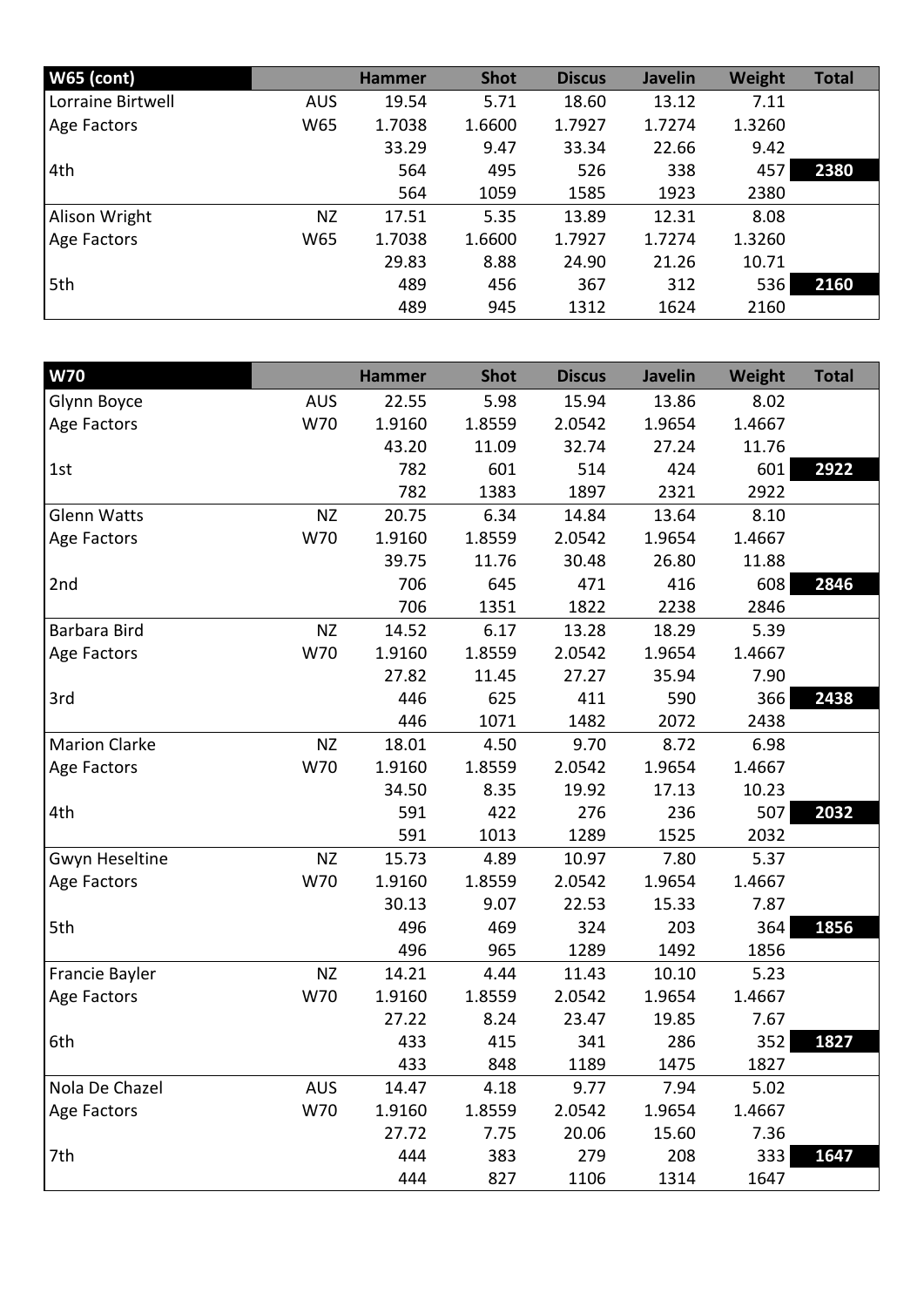| <b>W65 (cont)</b> |            | <b>Hammer</b> | <b>Shot</b> | <b>Discus</b> | <b>Javelin</b> | Weight | <b>Total</b> |
|-------------------|------------|---------------|-------------|---------------|----------------|--------|--------------|
| Lorraine Birtwell | <b>AUS</b> | 19.54         | 5.71        | 18.60         | 13.12          | 7.11   |              |
| Age Factors       | W65        | 1.7038        | 1.6600      | 1.7927        | 1.7274         | 1.3260 |              |
|                   |            | 33.29         | 9.47        | 33.34         | 22.66          | 9.42   |              |
| 4th               |            | 564           | 495         | 526           | 338            | 457    | 2380         |
|                   |            | 564           | 1059        | 1585          | 1923           | 2380   |              |
| Alison Wright     | <b>NZ</b>  | 17.51         | 5.35        | 13.89         | 12.31          | 8.08   |              |
| Age Factors       | W65        | 1.7038        | 1.6600      | 1.7927        | 1.7274         | 1.3260 |              |
|                   |            | 29.83         | 8.88        | 24.90         | 21.26          | 10.71  |              |
| 5th               |            | 489           | 456         | 367           | 312            | 536    | 2160         |
|                   |            | 489           | 945         | 1312          | 1624           | 2160   |              |

| W70                  |            | <b>Hammer</b> | <b>Shot</b> | <b>Discus</b> | <b>Javelin</b> | <b>Weight</b> | <b>Total</b> |
|----------------------|------------|---------------|-------------|---------------|----------------|---------------|--------------|
| Glynn Boyce          | <b>AUS</b> | 22.55         | 5.98        | 15.94         | 13.86          | 8.02          |              |
| Age Factors          | W70        | 1.9160        | 1.8559      | 2.0542        | 1.9654         | 1.4667        |              |
|                      |            | 43.20         | 11.09       | 32.74         | 27.24          | 11.76         |              |
| 1st                  |            | 782           | 601         | 514           | 424            | 601           | 2922         |
|                      |            | 782           | 1383        | 1897          | 2321           | 2922          |              |
| <b>Glenn Watts</b>   | <b>NZ</b>  | 20.75         | 6.34        | 14.84         | 13.64          | 8.10          |              |
| Age Factors          | W70        | 1.9160        | 1.8559      | 2.0542        | 1.9654         | 1.4667        |              |
|                      |            | 39.75         | 11.76       | 30.48         | 26.80          | 11.88         |              |
| 2nd                  |            | 706           | 645         | 471           | 416            | 608           | 2846         |
|                      |            | 706           | 1351        | 1822          | 2238           | 2846          |              |
| Barbara Bird         | <b>NZ</b>  | 14.52         | 6.17        | 13.28         | 18.29          | 5.39          |              |
| Age Factors          | W70        | 1.9160        | 1.8559      | 2.0542        | 1.9654         | 1.4667        |              |
|                      |            | 27.82         | 11.45       | 27.27         | 35.94          | 7.90          |              |
| 3rd                  |            | 446           | 625         | 411           | 590            | 366           | 2438         |
|                      |            | 446           | 1071        | 1482          | 2072           | 2438          |              |
| <b>Marion Clarke</b> | <b>NZ</b>  | 18.01         | 4.50        | 9.70          | 8.72           | 6.98          |              |
| Age Factors          | W70        | 1.9160        | 1.8559      | 2.0542        | 1.9654         | 1.4667        |              |
|                      |            | 34.50         | 8.35        | 19.92         | 17.13          | 10.23         |              |
| 4th                  |            | 591           | 422         | 276           | 236            | 507           | 2032         |
|                      |            | 591           | 1013        | 1289          | 1525           | 2032          |              |
| Gwyn Heseltine       | <b>NZ</b>  | 15.73         | 4.89        | 10.97         | 7.80           | 5.37          |              |
| Age Factors          | W70        | 1.9160        | 1.8559      | 2.0542        | 1.9654         | 1.4667        |              |
|                      |            | 30.13         | 9.07        | 22.53         | 15.33          | 7.87          |              |
| 5th                  |            | 496           | 469         | 324           | 203            | 364           | 1856         |
|                      |            | 496           | 965         | 1289          | 1492           | 1856          |              |
| Francie Bayler       | <b>NZ</b>  | 14.21         | 4.44        | 11.43         | 10.10          | 5.23          |              |
| Age Factors          | W70        | 1.9160        | 1.8559      | 2.0542        | 1.9654         | 1.4667        |              |
|                      |            | 27.22         | 8.24        | 23.47         | 19.85          | 7.67          |              |
| 6th                  |            | 433           | 415         | 341           | 286            | 352           | 1827         |
|                      |            | 433           | 848         | 1189          | 1475           | 1827          |              |
| Nola De Chazel       | <b>AUS</b> | 14.47         | 4.18        | 9.77          | 7.94           | 5.02          |              |
| Age Factors          | W70        | 1.9160        | 1.8559      | 2.0542        | 1.9654         | 1.4667        |              |
|                      |            | 27.72         | 7.75        | 20.06         | 15.60          | 7.36          |              |
| 7th                  |            | 444           | 383         | 279           | 208            | 333           | 1647         |
|                      |            | 444           | 827         | 1106          | 1314           | 1647          |              |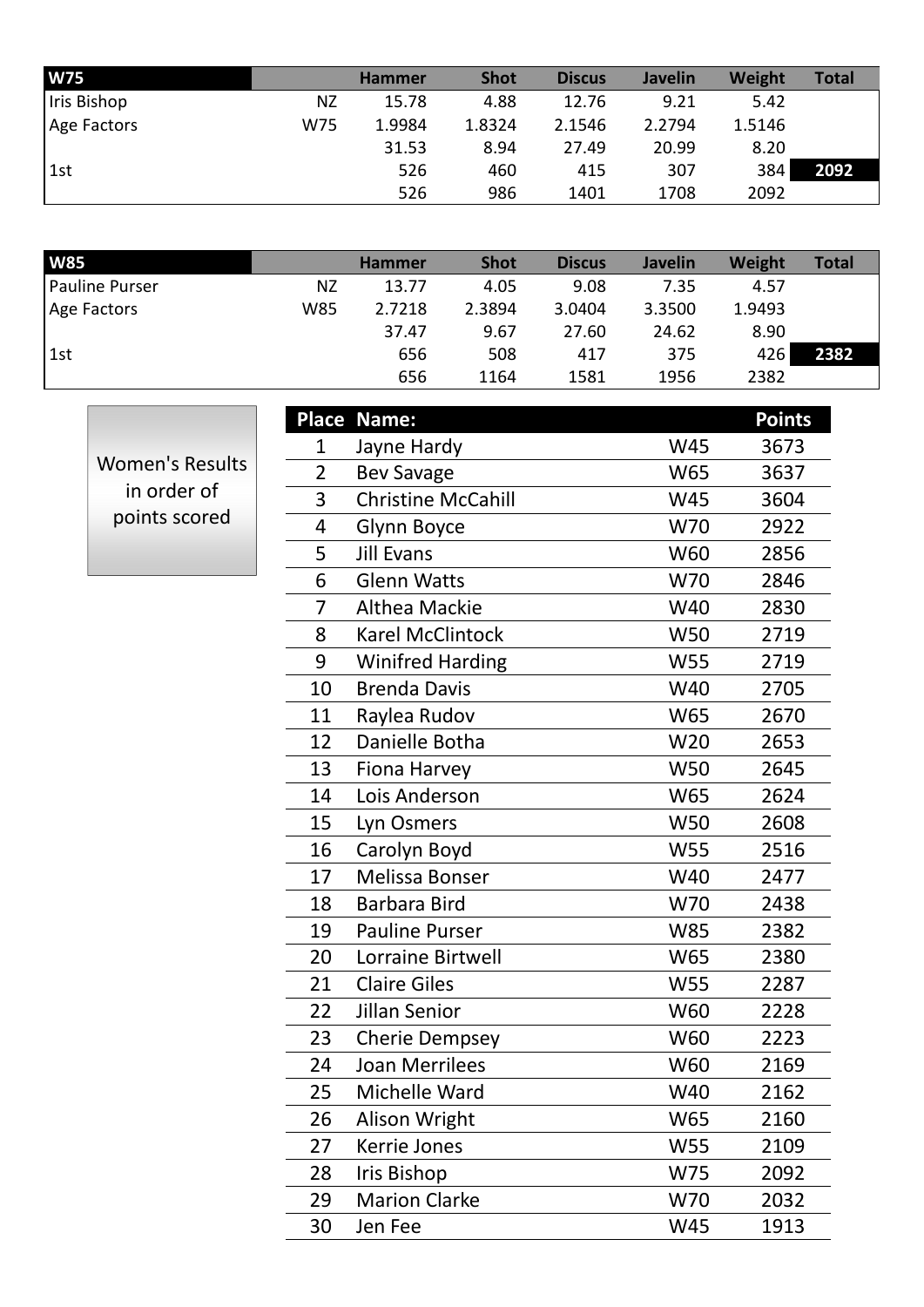| <b>W75</b>  |     | <b>Hammer</b> | <b>Shot</b> | <b>Discus</b> | <b>Javelin</b> | Weight | <b>Total</b> |
|-------------|-----|---------------|-------------|---------------|----------------|--------|--------------|
| Iris Bishop | ΝZ  | 15.78         | 4.88        | 12.76         | 9.21           | 5.42   |              |
| Age Factors | W75 | 1.9984        | 1.8324      | 2.1546        | 2.2794         | 1.5146 |              |
|             |     | 31.53         | 8.94        | 27.49         | 20.99          | 8.20   |              |
| 1st         |     | 526           | 460         | 415           | 307            | 384    | 2092         |
|             |     | 526           | 986         | 1401          | 1708           | 2092   |              |

| <b>W85</b>     |     | <b>Hammer</b> | <b>Shot</b> | <b>Discus</b> | <b>Javelin</b> | Weight | <b>Total</b> |
|----------------|-----|---------------|-------------|---------------|----------------|--------|--------------|
| Pauline Purser | ΝZ  | 13.77         | 4.05        | 9.08          | 7.35           | 4.57   |              |
| Age Factors    | W85 | 2.7218        | 2.3894      | 3.0404        | 3.3500         | 1.9493 |              |
|                |     | 37.47         | 9.67        | 27.60         | 24.62          | 8.90   |              |
| 1st            |     | 656           | 508         | 417           | 375            | 426    | 2382         |
|                |     | 656           | 1164        | 1581          | 1956           | 2382   |              |

Women's Results in order of points scored

| <b>Place</b>   | Name:                     |            | <b>Points</b> |
|----------------|---------------------------|------------|---------------|
| 1              | Jayne Hardy               | W45        | 3673          |
| $\overline{2}$ | <b>Bev Savage</b>         | W65        | 3637          |
| 3              | <b>Christine McCahill</b> | <b>W45</b> | 3604          |
| 4              | Glynn Boyce               | W70        | 2922          |
| 5              | <b>Jill Evans</b>         | W60        | 2856          |
| 6              | <b>Glenn Watts</b>        | W70        | 2846          |
| 7              | Althea Mackie             | W40        | 2830          |
| 8              | <b>Karel McClintock</b>   | W50        | 2719          |
| 9              | <b>Winifred Harding</b>   | <b>W55</b> | 2719          |
| 10             | <b>Brenda Davis</b>       | W40        | 2705          |
| 11             | Raylea Rudov              | W65        | 2670          |
| 12             | Danielle Botha            | W20        | 2653          |
| 13             | Fiona Harvey              | <b>W50</b> | 2645          |
| 14             | Lois Anderson             | W65        | 2624          |
| 15             | Lyn Osmers                | <b>W50</b> | 2608          |
| 16             | Carolyn Boyd              | W55        | 2516          |
| 17             | <b>Melissa Bonser</b>     | W40        | 2477          |
| 18             | <b>Barbara Bird</b>       | W70        | 2438          |
| 19             | <b>Pauline Purser</b>     | <b>W85</b> | 2382          |
| 20             | Lorraine Birtwell         | W65        | 2380          |
| 21             | <b>Claire Giles</b>       | <b>W55</b> | 2287          |
| 22             | Jillan Senior             | W60        | 2228          |
| 23             | <b>Cherie Dempsey</b>     | W60        | 2223          |
| 24             | <b>Joan Merrilees</b>     | W60        | 2169          |
| 25             | Michelle Ward             | W40        | 2162          |
| 26             | Alison Wright             | W65        | 2160          |
| 27             | Kerrie Jones              | <b>W55</b> | 2109          |
| 28             | <b>Iris Bishop</b>        | W75        | 2092          |
| 29             | <b>Marion Clarke</b>      | W70        | 2032          |
| 30             | Jen Fee                   | W45        | 1913          |
|                |                           |            |               |